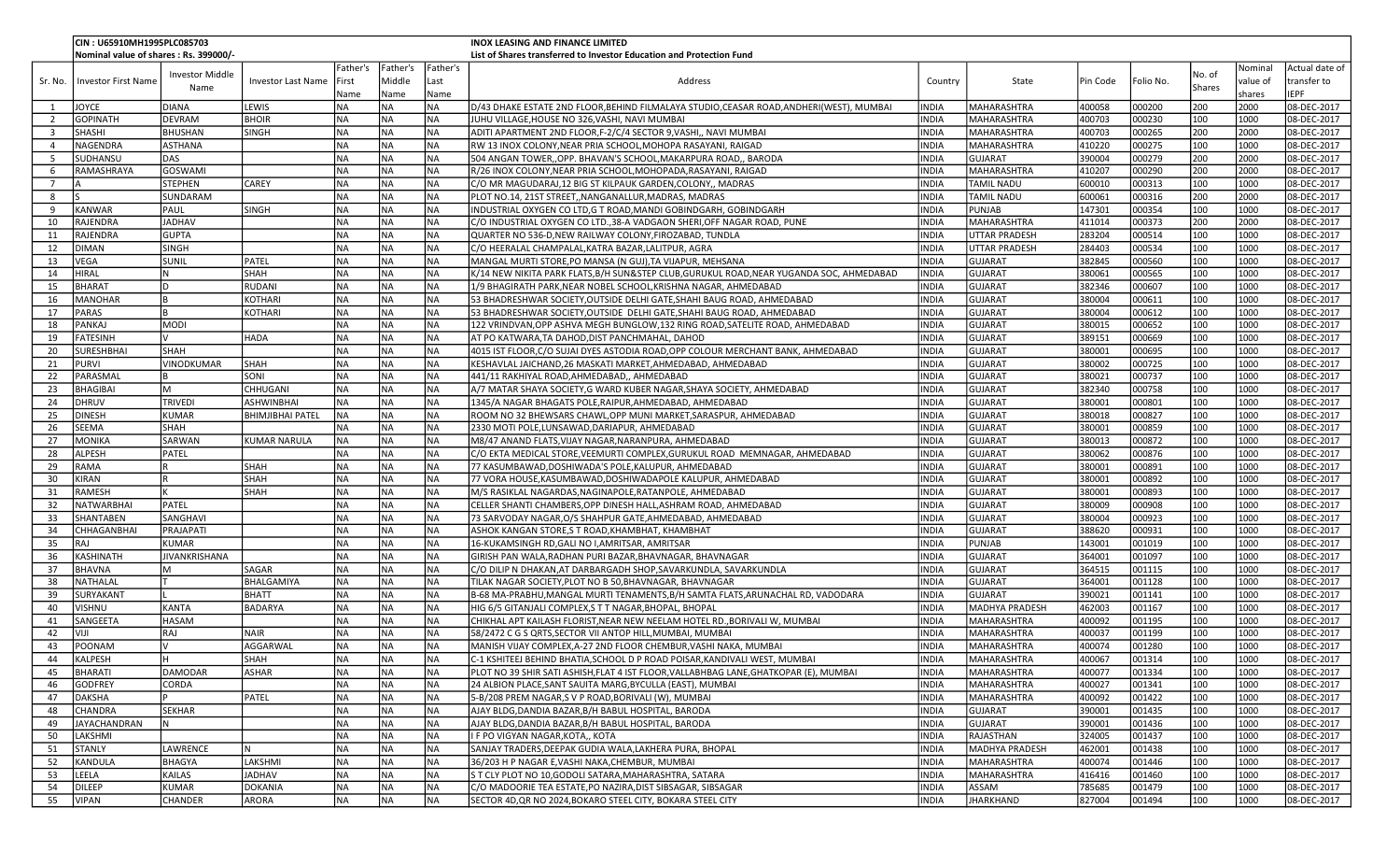|                         | CIN: U65910MH1995PLC085703            |                        |                           |           |           |           | <b>INOX LEASING AND FINANCE LIMITED</b>                                               |              |                      |          |           |               |          |                |
|-------------------------|---------------------------------------|------------------------|---------------------------|-----------|-----------|-----------|---------------------------------------------------------------------------------------|--------------|----------------------|----------|-----------|---------------|----------|----------------|
|                         | Nominal value of shares: Rs. 399000/- |                        |                           |           |           |           | List of Shares transferred to Investor Education and Protection Fund                  |              |                      |          |           |               |          |                |
|                         |                                       |                        |                           | Father's  | Father's  | Father's  |                                                                                       |              |                      |          |           |               | Nominal  | Actual date of |
| Sr. No.                 | Investor First Name                   | <b>Investor Middle</b> | <b>Investor Last Name</b> | First     | Middle    | Last      | Address                                                                               | Country      | State                | Pin Code | Folio No. | No. of        | value of | transfer to    |
|                         |                                       | Name                   |                           | Name      | Name      | Name      |                                                                                       |              |                      |          |           | <b>Shares</b> | shares   | <b>EPF</b>     |
| 1                       | <b>JOYCE</b>                          | DIANA                  | LEWIS                     | <b>NA</b> | <b>NA</b> | NA        | D/43 DHAKE ESTATE 2ND FLOOR,BEHIND FILMALAYA STUDIO,CEASAR ROAD,ANDHERI(WEST), MUMBAI | INDIA        | MAHARASHTRA          | 400058   | 000200    | 200           | 2000     | 08-DEC-2017    |
| $\overline{2}$          | <b>GOPINATH</b>                       | DEVRAM                 | <b>BHOIR</b>              | <b>NA</b> | <b>NA</b> | NA        | JUHU VILLAGE,HOUSE NO 326,VASHI, NAVI MUMBAI                                          | INDIA        | MAHARASHTRA          | 400703   | 000230    | 100           | 1000     | 08-DEC-2017    |
| $\overline{\mathbf{3}}$ | <b>SHASHI</b>                         | <b>BHUSHAN</b>         | <b>SINGH</b>              | <b>NA</b> | NA)       | <b>NA</b> | ADITI APARTMENT 2ND FLOOR, F-2/C/4 SECTOR 9, VASHI,, NAVI MUMBAI                      | INDIA        |                      |          | 000265    | 200           | 2000     | 08-DEC-2017    |
|                         |                                       |                        |                           |           |           |           |                                                                                       |              | MAHARASHTRA          | 400703   |           |               |          |                |
| $\overline{4}$          | NAGENDRA                              | ASTHANA                |                           | <b>NA</b> | NA        | <b>NA</b> | RW 13 INOX COLONY, NEAR PRIA SCHOOL, MOHOPA RASAYANI, RAIGAD                          | INDIA        | MAHARASHTRA          | 410220   | 000275    | 100           | 1000     | 08-DEC-2017    |
| -5                      | SUDHANSU                              | DAS                    |                           | <b>NA</b> | NA        | <b>NA</b> | 504 ANGAN TOWER,, OPP. BHAVAN'S SCHOOL, MAKARPURA ROAD,, BARODA                       | INDIA        | <b>GUJARAT</b>       | 390004   | 000279    | 200           | 2000     | 08-DEC-2017    |
| 6                       | <b>RAMASHRAYA</b>                     | GOSWAMI                |                           | <b>NA</b> | NA        | <b>NA</b> | R/26 INOX COLONY,NEAR PRIA SCHOOL,MOHOPADA,RASAYANI, RAIGAD                           | INDIA        | MAHARASHTRA          | 410207   | 000290    | 200           | 2000     | 08-DEC-2017    |
| $\overline{7}$          | I۵                                    | <b>STEPHEN</b>         | <b>CAREY</b>              | <b>NA</b> | NA        | <b>NA</b> | C/O MR MAGUDARAJ, 12 BIG ST KILPAUK GARDEN, COLONY,, MADRAS                           | INDIA        | TAMIL NADU           | 600010   | 000313    | 100           | 1000     | 08-DEC-2017    |
| 8                       |                                       | SUNDARAM               |                           | <b>NA</b> | NA        | <b>NA</b> | PLOT NO.14, 21ST STREET,, NANGANALLUR, MADRAS, MADRAS                                 | INDIA        | TAMIL NADU           | 600061   | 000316    | 200           | 2000     | 08-DEC-2017    |
| 9                       | KANWAR                                | PAUL                   | <b>SINGH</b>              | <b>NA</b> | NA        | <b>NA</b> | INDUSTRIAL OXYGEN CO LTD, G T ROAD, MANDI GOBINDGARH, GOBINDGARH                      | INDIA        | <b>PUNJAB</b>        | 147301   | 000354    | 100           | 1000     | 08-DEC-2017    |
| 10                      | RAJENDRA                              | <b>JADHAV</b>          |                           | <b>NA</b> | NA)       | <b>NA</b> | C/O INDUSTRIAL OXYGEN CO LTD., 38-A VADGAON SHERI, OFF NAGAR ROAD, PUNE               | <b>INDIA</b> | MAHARASHTRA          | 411014   | 000373    | 200           | 2000     | 08-DEC-2017    |
| 11                      | RAJENDRA                              | <b>GUPTA</b>           |                           | <b>NA</b> | NA        | <b>NA</b> | QUARTER NO 536-D, NEW RAILWAY COLONY, FIROZABAD, TUNDLA                               | INDIA        | <b>UTTAR PRADESH</b> | 283204   | 000514    | 100           | 1000     | 08-DEC-2017    |
| 12                      | DIMAN                                 | <b>SINGH</b>           |                           | <b>NA</b> | NA        | <b>NA</b> | C/O HEERALAL CHAMPALAL, KATRA BAZAR, LALITPUR, AGRA                                   | INDIA        | UTTAR PRADESH        | 284403   | 000534    | 100           | 1000     | 08-DEC-2017    |
| 13                      | <b>VEGA</b>                           | <b>SUNIL</b>           | PATEL                     | <b>NA</b> | <b>NA</b> | <b>NA</b> | MANGAL MURTI STORE,PO MANSA (N GUJ),TA VIJAPUR, MEHSANA                               | <b>INDIA</b> | <b>GUJARAT</b>       | 382845   | 000560    | 100           | 1000     | 08-DEC-2017    |
| 14                      | <b>HIRAL</b>                          |                        | <b>SHAH</b>               | <b>NA</b> | <b>NA</b> | <b>NA</b> | K/14 NEW NIKITA PARK FLATS,B/H SUN&STEP CLUB,GURUKUL ROAD,NEAR YUGANDA SOC, AHMEDABAD | INDIA        | GUJARAT              | 380061   | 000565    | 100           | 1000     | 08-DEC-2017    |
| 15                      | <b>BHARAT</b>                         |                        | RUDANI                    | <b>NA</b> | NA        | NA        | 1/9 BHAGIRATH PARK, NEAR NOBEL SCHOOL, KRISHNA NAGAR, AHMEDABAD                       | INDIA        | <b>GUJARAT</b>       | 382346   | 000607    | 100           | 1000     | 08-DEC-2017    |
| 16                      | MANOHAR                               |                        | <b>KOTHARI</b>            | <b>NA</b> | NA)       | <b>NA</b> | 53 BHADRESHWAR SOCIETY, OUTSIDE DELHI GATE, SHAHI BAUG ROAD, AHMEDABAD                | INDIA        | <b>GUJARAT</b>       | 380004   | 000611    | 100           | 1000     | 08-DEC-2017    |
| 17                      | PARAS                                 |                        | <b>KOTHARI</b>            | <b>NA</b> | NA        | <b>NA</b> | 53 BHADRESHWAR SOCIETY, OUTSIDE DELHI GATE, SHAHI BAUG ROAD, AHMEDABAD                | INDIA        | <b>GUJARAT</b>       | 380004   | 000612    | 100           | 1000     | 08-DEC-2017    |
|                         |                                       |                        |                           |           |           |           |                                                                                       |              |                      |          |           | 100           |          |                |
| 18                      | PANKAJ                                | <b>MODI</b>            |                           | <b>NA</b> | NA        | <b>NA</b> | 122 VRINDVAN, OPP ASHVA MEGH BUNGLOW, 132 RING ROAD, SATELITE ROAD, AHMEDABAD         | INDIA        | <b>GUJARAT</b>       | 380015   | 000652    |               | 1000     | 08-DEC-2017    |
| 19                      | FATESINH                              |                        | HADA                      | <b>NA</b> | NA        | <b>NA</b> | AT PO KATWARA, TA DAHOD, DIST PANCHMAHAL, DAHOD                                       | INDIA        | <b>GUJARAT</b>       | 389151   | 000669    | 100           | 1000     | 08-DEC-2017    |
| 20                      | <b>SURESHBHAI</b>                     | SHAH                   |                           | <b>NA</b> | NA        | <b>NA</b> | 4015 IST FLOOR,C/O SUJAI DYES ASTODIA ROAD,OPP COLOUR MERCHANT BANK, AHMEDABAD        | INDIA        | <b>GUJARAT</b>       | 380001   | 000695    | 100           | 1000     | 08-DEC-2017    |
| 21                      | PURVI                                 | VINODKUMAR             | SHAH                      | <b>NA</b> | NA        | <b>NA</b> | KESHAVLAL JAICHAND, 26 MASKATI MARKET, AHMEDABAD, AHMEDABAD                           | INDIA        | <b>GUJARAT</b>       | 380002   | 000725    | 100           | 1000     | 08-DEC-2017    |
| 22                      | PARASMAL                              |                        | <b>SONI</b>               | <b>NA</b> | NA        | <b>NA</b> | 441/11 RAKHIYAL ROAD, AHMEDABAD,, AHMEDABAD                                           | INDIA        | <b>GUJARAT</b>       | 380021   | 000737    | 100           | 1000     | 08-DEC-2017    |
| 23                      | BHAGIBAI                              | M                      | <b>CHHUGANI</b>           | <b>NA</b> | NA        | <b>NA</b> | A/7 MATAR SHAYA SOCIETY, G WARD KUBER NAGAR, SHAYA SOCIETY, AHMEDABAD                 | INDIA        | <b>GUJARAT</b>       | 382340   | 000758    | 100           | 1000     | 08-DEC-2017    |
| 24                      | DHRUV                                 | <b>TRIVEDI</b>         | ASHWINBHAI                | <b>NA</b> | NA        | <b>NA</b> | 1345/A NAGAR BHAGATS POLE, RAIPUR, AHMEDABAD, AHMEDABAD                               | INDIA        | <b>GUJARAT</b>       | 380001   | 000801    | 100           | 1000     | 08-DEC-2017    |
| 25                      | <b>DINESH</b>                         | <b>KUMAR</b>           | BHIMJIBHAI PATEL          | <b>NA</b> | NA        | <b>NA</b> | ROOM NO 32 BHEWSARS CHAWL, OPP MUNI MARKET, SARASPUR, AHMEDABAD                       | INDIA        | <b>GUJARAT</b>       | 380018   | 000827    | 100           | 1000     | 08-DEC-2017    |
| 26                      | SEEMA                                 | SHAH                   |                           | <b>NA</b> | NA        | <b>NA</b> | 2330 MOTI POLE,LUNSAWAD,DARIAPUR, AHMEDABAD                                           | <b>INDIA</b> | GUJARAT              | 380001   | 000859    | 100           | 1000     | 08-DEC-2017    |
| 27                      | <b>MONIKA</b>                         | SARWAN                 | <b>KUMAR NARULA</b>       | <b>NA</b> | <b>NA</b> | <b>NA</b> | M8/47 ANAND FLATS, VIJAY NAGAR, NARANPURA, AHMEDABAD                                  | INDIA        | <b>GUJARAT</b>       | 380013   | 000872    | 100           | 1000     | 08-DEC-2017    |
| 28                      | ALPESH                                | PATEL                  |                           | <b>NA</b> | NA)       | <b>NA</b> | C/O EKTA MEDICAL STORE, VEEMURTI COMPLEX, GURUKUL ROAD MEMNAGAR, AHMEDABAD            | INDIA        | <b>GUJARAT</b>       | 380062   | 000876    | 100           | 1000     | 08-DEC-2017    |
| 29                      | RAMA                                  |                        | <b>SHAH</b>               | <b>NA</b> | NA        | <b>NA</b> | 77 KASUMBAWAD, DOSHIWADA'S POLE, KALUPUR, AHMEDABAD                                   | <b>INDIA</b> | <b>GUJARAT</b>       | 380001   | 000891    | 100           | 1000     | 08-DEC-2017    |
| 30                      | KIRAN                                 |                        | <b>SHAH</b>               | <b>NA</b> | NA)       | <b>NA</b> | 77 VORA HOUSE,KASUMBAWAD,DOSHIWADAPOLE KALUPUR, AHMEDABAD                             | INDIA        | <b>GUJARAT</b>       | 380001   | 000892    | 100           | 1000     | 08-DEC-2017    |
| 31                      | RAMESH                                |                        | Іsнан                     | <b>NA</b> | NA        | <b>NA</b> | M/S RASIKLAL NAGARDAS, NAGINAPOLE, RATANPOLE, AHMEDABAD                               | INDIA        | <b>GUJARAT</b>       | 380001   | 000893    | 100           | 1000     | 08-DEC-2017    |
| 32                      | NATWARBHAI                            | PATEL                  |                           | <b>NA</b> | NA        | <b>NA</b> | CELLER SHANTI CHAMBERS, OPP DINESH HALL, ASHRAM ROAD, AHMEDABAD                       | <b>INDIA</b> | <b>GUJARAT</b>       | 380009   | 000908    | 100           | 1000     | 08-DEC-2017    |
|                         |                                       |                        |                           |           | NA        | <b>NA</b> |                                                                                       |              |                      |          |           | 100           |          |                |
| 33                      | SHANTABEN                             | SANGHAVI               |                           | <b>NA</b> |           |           | 73 SARVODAY NAGAR, O/S SHAHPUR GATE, AHMEDABAD, AHMEDABAD                             | INDIA        | <b>GUJARAT</b>       | 380004   | 000923    |               | 1000     | 08-DEC-2017    |
| 34                      | CHHAGANBHAI                           | PRAJAPATI              |                           | <b>NA</b> | NA)       | <b>NA</b> | ASHOK KANGAN STORE,S T ROAD, KHAMBHAT, KHAMBHAT                                       | INDIA        | <b>GUJARAT</b>       | 388620   | 000931    | 100           | 1000     | 08-DEC-2017    |
| 35                      | RAJ                                   | <b>KUMAR</b>           |                           | <b>NA</b> | NA)       | <b>NA</b> | 16-KUKAMSINGH RD, GALI NO I, AMRITSAR, AMRITSAR                                       | <b>INDIA</b> | PUNJAB               | 143001   | 001019    | 100           | 1000     | 08-DEC-2017    |
| 36                      | KASHINATH                             | JIVANKRISHANA          |                           | <b>NA</b> | NA        | <b>NA</b> | GIRISH PAN WALA, RADHAN PURI BAZAR, BHAVNAGAR, BHAVNAGAR                              | INDIA        | <b>GUJARAT</b>       | 364001   | 001097    | 100           | 1000     | 08-DEC-2017    |
| 37                      | <b>BHAVNA</b>                         |                        | SAGAR                     | <b>NA</b> | NA        | <b>NA</b> | C/O DILIP N DHAKAN,AT DARBARGADH SHOP,SAVARKUNDLA, SAVARKUNDLA                        | INDIA        | <b>GUJARAT</b>       | 364515   | 001115    | 100           | 1000     | 08-DEC-2017    |
| 38                      | NATHALAL                              |                        | BHALGAMIYA                | <b>NA</b> | <b>NA</b> | <b>NA</b> | TILAK NAGAR SOCIETY, PLOT NO B 50, BHAVNAGAR, BHAVNAGAR                               | <b>INDIA</b> | <b>GUJARAT</b>       | 364001   | 001128    | 100           | 1000     | 08-DEC-2017    |
| 39                      | SURYAKANT                             |                        | <b>BHATT</b>              | <b>NA</b> | NA        | NA        | B-68 MA-PRABHU, MANGAL MURTI TENAMENTS, B/H SAMTA FLATS, ARUNACHAL RD, VADODARA       | INDIA        | GUJARAT              | 390021   | 001141    | 100           | 1000     | 08-DEC-2017    |
| 40                      | VISHNU                                | <b>KANTA</b>           | <b>BADARYA</b>            | <b>NA</b> | NA)       | NA        | HIG 6/5 GITANJALI COMPLEX, S T T NAGAR, BHOPAL, BHOPAL                                | INDIA        | MADHYA PRADESH       | 462003   | 001167    | 100           | 1000     | 08-DEC-2017    |
| 41                      | SANGEETA                              | HASAM                  |                           | <b>NA</b> | NA        | <b>NA</b> | CHIKHAL APT KAILASH FLORIST, NEAR NEW NEELAM HOTEL RD., BORIVALI W, MUMBAI            | INDIA        | MAHARASHTRA          | 400092   | 001195    | 100           | 1000     | 08-DEC-2017    |
| 42                      | VIJI                                  | RAJ                    | <b>NAIR</b>               | <b>NA</b> | NA        | <b>NA</b> | 58/2472 C G S QRTS, SECTOR VII ANTOP HILL, MUMBAI, MUMBAI                             | INDIA        | MAHARASHTRA          | 400037   | 001199    | 100           | 1000     | 08-DEC-2017    |
| 43                      | POONAM                                |                        | AGGARWAL                  | <b>NA</b> | NA        | <b>NA</b> | MANISH VIJAY COMPLEX,A-27 2ND FLOOR CHEMBUR,VASHI NAKA, MUMBAI                        | INDIA        | <b>MAHARASHTRA</b>   | 400074   | 001280    | 100           | 1000     | 08-DEC-2017    |
| 44                      | <i><b>KALPESH</b></i>                 |                        | Іsнан                     | <b>NA</b> | Ina       | <b>NA</b> | C-1 KSHITEEJ BEHIND BHATIA, SCHOOL D P ROAD POISAR, KANDIVALI WEST, MUMBAI            | <b>INDIA</b> | <b>IMAHARASHTRA</b>  | 400067   | 001314    | 100           | 1000     | 08-DEC-2017    |
| 45                      | BHARATI                               | <b>DAMODAR</b>         | ASHAR                     | <b>NA</b> | NA)       | <b>NA</b> | PLOT NO 39 SHIR SATI ASHISH, FLAT 4 IST FLOOR, VALLABHBAG LANE, GHATKOPAR (E), MUMBAI | <b>INDIA</b> | MAHARASHTRA          | 400077   | 001334    | 100           | 1000     | 08-DEC-2017    |
| 46                      | <b>GODFREY</b>                        | CORDA                  |                           | <b>NA</b> | NA)       | <b>NA</b> | 24 ALBION PLACE, SANT SAUITA MARG, BYCULLA (EAST), MUMBAI                             | INDIA        | <b>MAHARASHTRA</b>   | 400027   | 001341    | 100           | 1000     | 08-DEC-2017    |
| 47                      | DAKSHA                                |                        | PATEL                     | <b>NA</b> | NA)       | <b>NA</b> | 5-B/208 PREM NAGAR, S V P ROAD, BORIVALI (W), MUMBAI                                  | <b>INDIA</b> | <b>MAHARASHTRA</b>   | 400092   | 001422    | 100           | 1000     | 08-DEC-2017    |
|                         |                                       |                        |                           |           |           |           |                                                                                       |              |                      |          |           |               |          |                |
| 48                      | <b>CHANDRA</b>                        | <b>SEKHAR</b>          |                           | <b>NA</b> | NA)       | <b>NA</b> | AJAY BLDG,DANDIA BAZAR,B/H BABUL HOSPITAL, BARODA                                     | <b>INDIA</b> | GUJARAT              | 390001   | 001435    | 100           | 1000     | 08-DEC-2017    |
| 49                      | <b>JAYACHANDRAN</b>                   |                        |                           | <b>NA</b> | NA)       | <b>NA</b> | AJAY BLDG, DANDIA BAZAR, B/H BABUL HOSPITAL, BARODA                                   | <b>INDIA</b> | GUJARAT              | 390001   | 001436    | 100           | 1000     | 08-DEC-2017    |
| 50                      | LAKSHMI                               |                        |                           | <b>NA</b> | NA        | <b>NA</b> | I F PO VIGYAN NAGAR, KOTA,, KOTA                                                      | INDIA        | RAJASTHAN            | 324005   | 001437    | 100           | 1000     | 08-DEC-2017    |
| 51                      | STANLY                                | .AWRENCE               |                           | <b>NA</b> | NA)       | <b>NA</b> | SANJAY TRADERS, DEEPAK GUDIA WALA, LAKHERA PURA, BHOPAL                               | INDIA        | MADHYA PRADESH       | 462001   | 001438    | 100           | 1000     | 08-DEC-2017    |
| 52                      | KANDULA                               | BHAGYA                 | LAKSHMI                   | <b>NA</b> | NA        | <b>NA</b> | 36/203 H P NAGAR E, VASHI NAKA, CHEMBUR, MUMBAI                                       | INDIA        | MAHARASHTRA          | 400074   | 001446    | 100           | 1000     | 08-DEC-2017    |
| 53                      | LEELA                                 | KAILAS                 | <b>JADHAV</b>             | <b>NA</b> | NA)       | <b>NA</b> | S T CLY PLOT NO 10,GODOLI SATARA, MAHARASHTRA, SATARA                                 | <b>INDIA</b> | MAHARASHTRA          | 416416   | 001460    | 100           | 1000     | 08-DEC-2017    |
| 54                      | DILEEP                                | <b>KUMAR</b>           | DOKANIA                   | <b>NA</b> | NA.       | <b>NA</b> | C/O MADOORIE TEA ESTATE,PO NAZIRA,DIST SIBSAGAR, SIBSAGAR                             | <b>INDIA</b> | ASSAM                | 785685   | 001479    | 100           | 1000     | 08-DEC-2017    |
| 55                      | <b>VIPAN</b>                          | CHANDER                | ARORA                     | <b>NA</b> | NA)       | <b>NA</b> | SECTOR 4D, QR NO 2024, BOKARO STEEL CITY, BOKARA STEEL CITY                           | INDIA        | <b>JHARKHAND</b>     | 827004   | 001494    | 100           | 1000     | 08-DEC-2017    |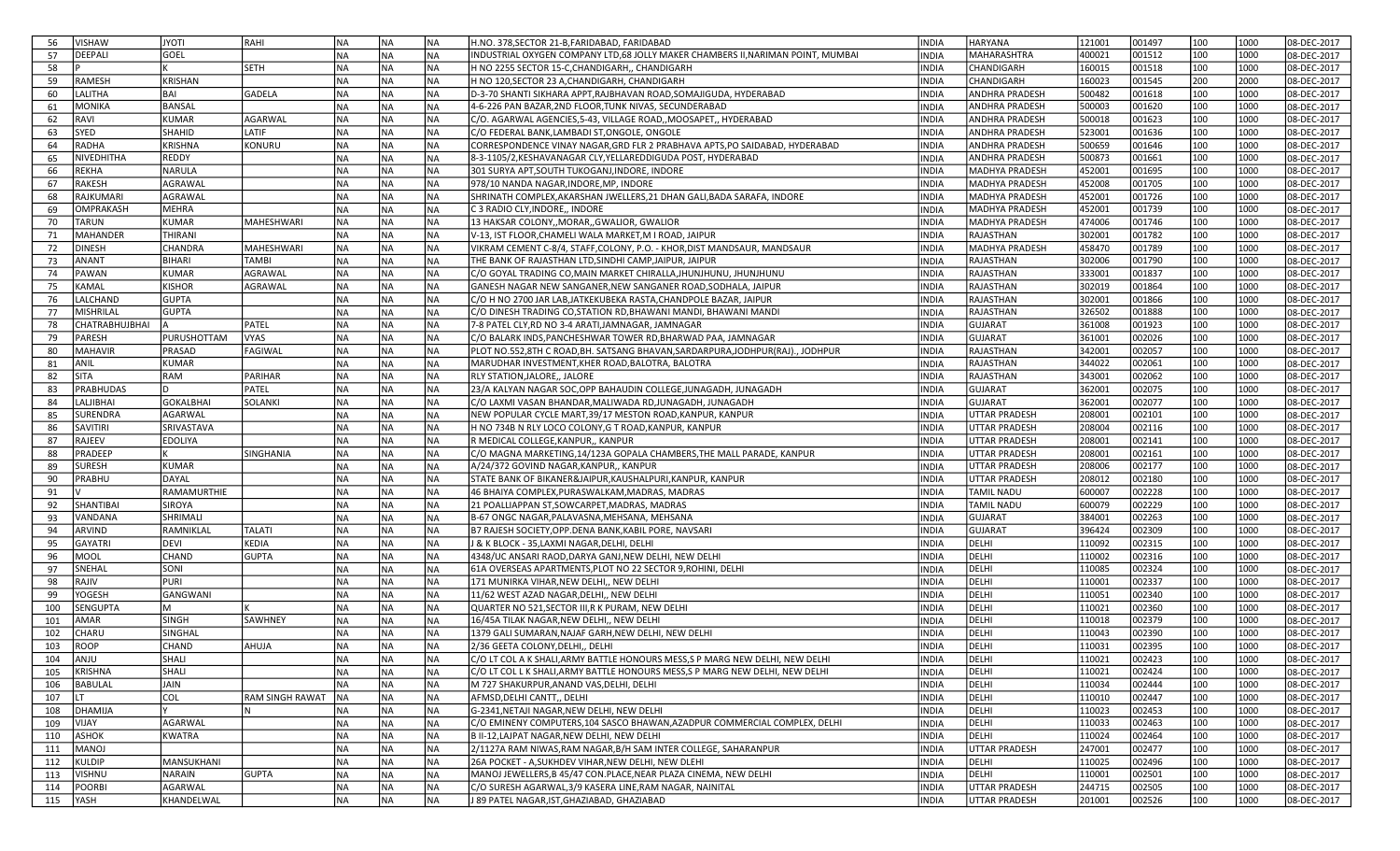| 56  | <b>VISHAW</b>         | <b>ITOYL</b>   | RAHI                   | NA        | NA        | NA         | H.NO. 378, SECTOR 21-B, FARIDABAD, FARIDABAD                                    | INDIA        | HARYANA               | 121001 | 001497 | 100 | 1000 | 08-DEC-2017 |
|-----|-----------------------|----------------|------------------------|-----------|-----------|------------|---------------------------------------------------------------------------------|--------------|-----------------------|--------|--------|-----|------|-------------|
| 57  | DEEPALI               | GOEL           |                        | <b>NA</b> | INA       | NA         | INDUSTRIAL OXYGEN COMPANY LTD,68 JOLLY MAKER CHAMBERS II, NARIMAN POINT, MUMBAI | <b>INDIA</b> | MAHARASHTRA           | 400021 | 001512 | 100 | 1000 | 08-DEC-2017 |
| 58  |                       |                | <b>SETH</b>            | <b>NA</b> | NA)       | INA        | H NO 2255 SECTOR 15-C, CHANDIGARH,, CHANDIGARH                                  | <b>INDIA</b> | CHANDIGARH            | 160015 | 001518 | 100 | 1000 | 08-DEC-2017 |
| 59  | RAMESH                | <b>KRISHAN</b> |                        | <b>NA</b> | NA        | NA)        | H NO 120.SECTOR 23 A.CHANDIGARH. CHANDIGARH                                     | INDIA        | CHANDIGARH            | 160023 | 001545 | 200 | 2000 | 08-DEC-2017 |
| 60  | LALITHA               | BAI            | GADELA                 | <b>NA</b> | <b>NA</b> | <b>NA</b>  | D-3-70 SHANTI SIKHARA APPT, RAJBHAVAN ROAD, SOMAJIGUDA, HYDERABAD               | <b>NDIA</b>  | ANDHRA PRADESH        | 500482 | 001618 | 100 | 1000 | 08-DEC-2017 |
| 61  | <b>MONIKA</b>         | <b>BANSAL</b>  |                        | <b>NA</b> | <b>NA</b> | <b>NA</b>  | 4-6-226 PAN BAZAR, 2ND FLOOR, TUNK NIVAS, SECUNDERABAD                          | INDIA        | <b>ANDHRA PRADESH</b> | 500003 | 001620 | 100 | 1000 | 08-DEC-2017 |
| 62  | <b>RAVI</b>           | KUMAR          | <b>AGARWAL</b>         | <b>NA</b> | NA        | <b>NA</b>  | C/O. AGARWAL AGENCIES,5-43, VILLAGE ROAD, MOOSAPET,, HYDERABAD                  | INDIA        | <b>ANDHRA PRADESH</b> | 500018 | 001623 | 100 | 1000 | 08-DEC-2017 |
| 63  | SYED                  | SHAHID         | LATIF                  | <b>NA</b> | NA        | <b>NA</b>  | C/O FEDERAL BANK, LAMBADI ST, ONGOLE, ONGOLE                                    | <b>INDIA</b> | ANDHRA PRADESH        | 523001 | 001636 | 100 | 1000 | 08-DEC-2017 |
| 64  | RADHA                 | <b>KRISHNA</b> | KONURU                 | <b>NA</b> | NA        | NA         | CORRESPONDENCE VINAY NAGAR, GRD FLR 2 PRABHAVA APTS, PO SAIDABAD, HYDERABAD     | INDIA        | ANDHRA PRADESH        | 500659 | 001646 | 100 | 1000 | 08-DEC-2017 |
| 65  | NIVEDHITHA            | REDDY          |                        | <b>NA</b> | NA)       | NA)        | 8-3-1105/2, KESHAVANAGAR CLY, YELLAREDDIGUDA POST, HYDERABAD                    | <b>INDIA</b> | <b>ANDHRA PRADESH</b> | 500873 | 001661 | 100 | 1000 | 08-DEC-2017 |
| 66  | <b>REKHA</b>          | <b>NARULA</b>  |                        | <b>NA</b> | NA        | NA)        | 301 SURYA APT, SOUTH TUKOGANJ, INDORE, INDORE                                   | <b>INDIA</b> | MADHYA PRADESH        | 452001 | 001695 | 100 | 1000 | 08-DEC-2017 |
| 67  | <b>RAKESH</b>         | AGRAWAL        |                        | <b>NA</b> | NA        | <b>NA</b>  | 978/10 NANDA NAGAR, INDORE, MP, INDORE                                          | INDIA        | <b>MADHYA PRADESH</b> | 452008 | 001705 | 100 | 1000 | 08-DEC-2017 |
| 68  | RAJKUMARI             | AGRAWAL        |                        | <b>NA</b> | NA        | NA         | SHRINATH COMPLEX, AKARSHAN JWELLERS, 21 DHAN GALI, BADA SARAFA, INDORE          | INDIA        | <b>MADHYA PRADESH</b> | 452001 | 001726 | 100 | 1000 | 08-DEC-2017 |
| 69  | OMPRAKASH             | MEHRA          |                        | <b>NA</b> | NA)       | NA)        | C 3 RADIO CLY, INDORE,, INDORE                                                  | <b>INDIA</b> | MADHYA PRADESH        | 452001 | 001739 | 100 | 1000 | 08-DEC-2017 |
| 70  | <b>TARUN</b>          | <b>KUMAR</b>   | MAHESHWARI             | <b>NA</b> | NA        | NA)        | 13 HAKSAR COLONY,, MORAR,, GWALIOR, GWALIOR                                     | INDIA        | <b>MADHYA PRADESH</b> | 474006 | 001746 | 100 | 1000 | 08-DEC-2017 |
| 71  | MAHANDER              | <b>THIRANI</b> |                        | <b>NA</b> | NA)       | NA)        | V-13, IST FLOOR, CHAMELI WALA MARKET, M I ROAD, JAIPUR                          | <b>INDIA</b> | RAJASTHAN             | 302001 | 001782 | 100 | 1000 | 08-DEC-2017 |
| 72  | <b>DINESH</b>         | CHANDRA        | MAHESHWARI             | <b>NA</b> | <b>NA</b> | <b>NA</b>  | VIKRAM CEMENT C-8/4, STAFF,COLONY, P.O. - KHOR,DIST MANDSAUR, MANDSAUR          | <b>NDIA</b>  | MADHYA PRADESH        | 458470 | 001789 | 100 | 1000 | 08-DEC-2017 |
| 73  | <b>ANANT</b>          | BIHARI         | <b>TAMBI</b>           | <b>NA</b> | <b>NA</b> | <b>NA</b>  | THE BANK OF RAJASTHAN LTD, SINDHI CAMP, JAIPUR, JAIPUR                          | <b>NDIA</b>  | RAJASTHAN             | 302006 | 001790 | 100 | 1000 | 08-DEC-2017 |
| 74  | <b>PAWAN</b>          | <b>KUMAR</b>   | <b>AGRAWAL</b>         | <b>NA</b> | <b>NA</b> | <b>NA</b>  | C/O GOYAL TRADING CO,MAIN MARKET CHIRALLA,JHUNJHUNU, JHUNJHUNU                  | INDIA        | RAJASTHAN             | 333001 | 001837 | 100 | 1000 | 08-DEC-2017 |
| 75  | <b>KAMAL</b>          | KISHOR         | AGRAWAL                | <b>NA</b> | NA        | NA         | GANESH NAGAR NEW SANGANER, NEW SANGANER ROAD, SODHALA, JAIPUR                   | INDIA        | RAJASTHAN             | 302019 | 001864 | 100 | 1000 | 08-DEC-2017 |
| 76  | LALCHAND              | <b>GUPTA</b>   |                        | <b>NA</b> | NA        | <b>NA</b>  | C/O H NO 2700 JAR LAB, JATKEKUBEKA RASTA, CHANDPOLE BAZAR, JAIPUR               | INDIA        | RAJASTHAN             | 302001 | 001866 | 100 | 1000 | 08-DEC-2017 |
| 77  | MISHRILAL             |                |                        | <b>NA</b> |           | NA)        | C/O DINESH TRADING CO, STATION RD, BHAWANI MANDI, BHAWANI MANDI                 | <b>INDIA</b> |                       | 326502 | 001888 | 100 | 1000 |             |
|     |                       | <b>GUPTA</b>   |                        |           | NA<br> NA | NA)        | 7-8 PATEL CLY, RD NO 3-4 ARATI, JAMNAGAR, JAMNAGAR                              |              | RAJASTHAN             |        |        |     |      | 08-DEC-2017 |
| 78  | <b>CHATRABHUJBHAI</b> |                | PATEL                  | <b>NA</b> |           |            |                                                                                 | INDIA        | <b>GUJARAT</b>        | 361008 | 001923 | 100 | 1000 | 08-DEC-2017 |
| 79  | PARESH                | PURUSHOTTAM    | <b>VYAS</b>            | <b>NA</b> | NA        | NA)        | C/O BALARK INDS, PANCHESHWAR TOWER RD, BHARWAD PAA, JAMNAGAR                    | INDIA        | <b>GUJARAT</b>        | 361001 | 002026 | 100 | 1000 | 08-DEC-2017 |
| 80  | MAHAVIR               | PRASAD         | FAGIWAL                | <b>NA</b> | NA        | <b>NA</b>  | PLOT NO.552,8TH C ROAD,BH. SATSANG BHAVAN,SARDARPURA,JODHPUR(RAJ)., JODHPUR     | INDIA        | RAJASTHAN             | 342001 | 002057 | 100 | 1000 | 08-DEC-2017 |
| 81  | <b>ANIL</b>           | <b>KUMAR</b>   |                        | <b>NA</b> | NA        | NA)        | MARUDHAR INVESTMENT, KHER ROAD, BALOTRA, BALOTRA                                | INDIA        | RAJASTHAN             | 344022 | 002061 | 100 | 1000 | 08-DEC-2017 |
| 82  | <b>SITA</b>           | RAM            | PARIHAR                | NA        | NA        | NA)        | <b>RLY STATION, JALORE,, JALORE</b>                                             | INDIA        | RAJASTHAN             | 343001 | 002062 | 100 | 1000 | 08-DEC-2017 |
| 83  | <b>PRABHUDAS</b>      |                | PATEL                  | <b>NA</b> | NA)       | NA)        | 23/A KALYAN NAGAR SOC, OPP BAHAUDIN COLLEGE, JUNAGADH, JUNAGADH                 | INDIA        | <b>GUJARAT</b>        | 362001 | 002075 | 100 | 1000 | 08-DEC-2017 |
| 84  | <b>LALJIBHAI</b>      | GOKALBHAI      | <b>SOLANKI</b>         | <b>NA</b> | NA)       | NA)        | C/O LAXMI VASAN BHANDAR,MALIWADA RD,JUNAGADH, JUNAGADH                          | INDIA        | <b>GUJARAT</b>        | 362001 | 002077 | 100 | 1000 | 08-DEC-2017 |
| 85  | SURENDRA              | AGARWAL        |                        | <b>NA</b> | <b>NA</b> | <b>NA</b>  | NEW POPULAR CYCLE MART,39/17 MESTON ROAD,KANPUR, KANPUR                         | <b>NDIA</b>  | <b>UTTAR PRADESH</b>  | 208001 | 002101 | 100 | 1000 | 08-DEC-2017 |
| 86  | SAVITIRI              | SRIVASTAVA     |                        | <b>NA</b> | <b>NA</b> | <b>NA</b>  | H NO 734B N RLY LOCO COLONY,G T ROAD,KANPUR, KANPUR                             | INDIA        | <b>UTTAR PRADESH</b>  | 208004 | 002116 | 100 | 1000 | 08-DEC-2017 |
| 87  | RAJEEV                | EDOLIYA        |                        | <b>NA</b> | NA        | <b>NA</b>  | R MEDICAL COLLEGE, KANPUR,, KANPUR                                              | INDIA        | <b>UTTAR PRADESH</b>  | 208001 | 002141 | 100 | 1000 | 08-DEC-2017 |
| 88  | PRADEEP               |                | SINGHANIA              | <b>NA</b> | NA        | NA)        | C/O MAGNA MARKETING, 14/123A GOPALA CHAMBERS, THE MALL PARADE, KANPUR           | INDIA        | UTTAR PRADESH         | 208001 | 002161 | 100 | 1000 | 08-DEC-2017 |
| 89  | <b>SURESH</b>         | <b>KUMAR</b>   |                        | <b>NA</b> | NA        | NA)        | A/24/372 GOVIND NAGAR, KANPUR,, KANPUR                                          | INDIA        | UTTAR PRADESH         | 208006 | 002177 | 100 | 1000 | 08-DEC-2017 |
| 90  | PRABHU                | DAYAL          |                        | <b>NA</b> | NA        | NA         | STATE BANK OF BIKANER&JAIPUR, KAUSHALPURI, KANPUR, KANPUR                       | INDIA        | <b>UTTAR PRADESH</b>  | 208012 | 002180 | 100 | 1000 | 08-DEC-2017 |
| 91  |                       | RAMAMURTHIE    |                        | <b>NA</b> | NA        | NA)        | 46 BHAIYA COMPLEX, PURASWALKAM, MADRAS, MADRAS                                  | <b>INDIA</b> | TAMIL NADU            | 600007 | 002228 | 100 | 1000 | 08-DEC-2017 |
| 92  | SHANTIBAI             | SIROYA         |                        | <b>NA</b> | NA        | NA)        | 21 POALLIAPPAN ST, SOWCARPET, MADRAS, MADRAS                                    | INDIA        | TAMIL NADU            | 600079 | 002229 | 100 | 1000 | 08-DEC-2017 |
| 93  | VANDANA               | SHRIMALI       |                        | <b>NA</b> | NA        | <b>NA</b>  | B-67 ONGC NAGAR, PALAVASNA, MEHSANA, MEHSANA                                    | INDIA        | <b>GUJARAT</b>        | 384001 | 002263 | 100 | 1000 | 08-DEC-2017 |
| 94  | <b>ARVIND</b>         | RAMNIKLAL      | <b>TALATI</b>          | <b>NA</b> | NA        | NA)        | B7 RAJESH SOCIETY, OPP. DENA BANK, KABIL PORE, NAVSARI                          | INDIA        | GUJARAT               | 396424 | 002309 | 100 | 1000 | 08-DEC-2017 |
| 95  | GAYATRI               | DEVI           | KEDIA                  | <b>NA</b> | NA        | NA)        | J & K BLOCK - 35,LAXMI NAGAR,DELHI, DELHI                                       | INDIA        | DELHI                 | 110092 | 002315 | 100 | 1000 | 08-DEC-2017 |
| 96  | <b>MOOL</b>           | CHAND          | <b>GUPTA</b>           | <b>NA</b> | <b>NA</b> | NA)        | 4348/UC ANSARI RAOD, DARYA GANJ, NEW DELHI, NEW DELHI                           | INDIA        | DELHI                 | 110002 | 002316 | 100 | 1000 | 08-DEC-2017 |
| 97  | SNEHAL                | SONI           |                        | <b>NA</b> | <b>NA</b> | <b>NA</b>  | 61A OVERSEAS APARTMENTS, PLOT NO 22 SECTOR 9, ROHINI, DELHI                     | <b>NDIA</b>  | DELHI                 | 110085 | 002324 | 100 | 1000 | 08-DEC-2017 |
| 98  | RAJIV                 | <b>PURI</b>    |                        | <b>NA</b> | <b>NA</b> | <b>NA</b>  | 171 MUNIRKA VIHAR, NEW DELHI,, NEW DELHI                                        | <b>NDIA</b>  | DELHI                 | 110001 | 002337 | 100 | 1000 | 08-DEC-2017 |
| 99  | <b>YOGESH</b>         | GANGWANI       |                        | <b>NA</b> | <b>NA</b> | <b>NA</b>  | 11/62 WEST AZAD NAGAR, DELHI,, NEW DELHI                                        | <b>NDIA</b>  | DELHI                 | 110051 | 002340 | 100 | 1000 | 08-DEC-2017 |
| 100 | <b>SENGUPTA</b>       | м              |                        | <b>NA</b> | NA        | <b>NA</b>  | QUARTER NO 521, SECTOR III, R K PURAM, NEW DELHI                                | INDIA        | DELHI                 | 110021 | 002360 | 100 | 1000 | 08-DEC-2017 |
| 101 | AMAR                  | SINGH          | <b>SAWHNEY</b>         | <b>NA</b> | NA        | NA)        | 16/45A TILAK NAGAR, NEW DELHI,, NEW DELHI                                       | INDIA        | DELHI                 | 110018 | 002379 | 100 | 1000 | 08-DEC-2017 |
| 102 | CHARU                 | SINGHAL        |                        | <b>NA</b> | INA       | <b>NA</b>  | 1379 GALI SUMARAN, NAJAF GARH, NEW DELHI, NEW DELHI                             | <b>INDIA</b> | DELHI                 | 110043 | 002390 | 100 | 1000 | 08-DEC-2017 |
| 103 | <b>ROOP</b>           | CHAND          | AHUJA                  | <b>NA</b> | NA        | <b>INA</b> | 2/36 GEETA COLONY,DELHI,, DELHI                                                 | INDIA        | DELHI                 | 110031 | 002395 | 100 | 1000 | 08-DEC-2017 |
| 104 | ANJU                  | SHALI          |                        | <b>NA</b> | NA)       | <b>NA</b>  | C/O LT COL A K SHALI, ARMY BATTLE HONOURS MESS, S P MARG NEW DELHI, NEW DELHI   | <b>INDIA</b> | DELHI                 | 110021 | 002423 | 100 | 1000 | 08-DEC-2017 |
| 105 | KRISHNA               | SHALI          |                        | <b>NA</b> | NA.       | <b>NA</b>  | C/O LT COL L K SHALI, ARMY BATTLE HONOURS MESS, S P MARG NEW DELHI, NEW DELHI   | <b>INDIA</b> | DELHI                 | 110021 | 002424 | 100 | 1000 | 08-DEC-2017 |
| 106 | BABULAL               | JAIN           |                        | <b>NA</b> | NA.       | NA)        | M 727 SHAKURPUR, ANAND VAS, DELHI, DELHI                                        | INDIA        | DELHI                 | 110034 | 002444 | 100 | 1000 | 08-DEC-2017 |
| 107 | Ilt                   | COL            | <b>RAM SINGH RAWAT</b> | <b>NA</b> | NA.       | NA         | AFMSD, DELHI CANTT,, DELHI                                                      | INDIA        | DELHI                 | 110010 | 002447 | 100 | 1000 | 08-DEC-2017 |
| 108 | DHAMIJA               |                |                        | <b>NA</b> | NA)       | NA         | G-2341, NETAJI NAGAR, NEW DELHI, NEW DELHI                                      | INDIA        | DELHI                 | 110023 | 002453 | 100 | 1000 | 08-DEC-2017 |
| 109 | <b>VIJAY</b>          | AGARWAL        |                        | <b>NA</b> | NA        | NA)        | C/O EMINENY COMPUTERS, 104 SASCO BHAWAN, AZADPUR COMMERCIAL COMPLEX, DELHI      | INDIA        | DELHI                 | 110033 | 002463 | 100 | 1000 | 08-DEC-2017 |
| 110 | <b>ASHOK</b>          | KWATRA         |                        | <b>NA</b> | NA.       | <b>NA</b>  | B II-12, LAJPAT NAGAR, NEW DELHI, NEW DELHI                                     | INDIA        | DELHI                 | 110024 | 002464 | 100 | 1000 | 08-DEC-2017 |
| 111 | MANOJ                 |                |                        | <b>NA</b> | NA.       | <b>NA</b>  | 2/1127A RAM NIWAS, RAM NAGAR, B/H SAM INTER COLLEGE, SAHARANPUR                 | INDIA        | UTTAR PRADESH         | 247001 | 002477 | 100 | 1000 | 08-DEC-2017 |
| 112 | KULDIP                | MANSUKHANI     |                        | <b>NA</b> | NA        | NA)        | 26A POCKET - A, SUKHDEV VIHAR, NEW DELHI, NEW DLEHI                             | INDIA        | DELHI                 | 110025 | 002496 | 100 | 1000 | 08-DEC-2017 |
| 113 | <b>VISHNU</b>         | NARAIN         | <b>GUPTA</b>           | <b>NA</b> | NA.       | NA         | MANOJ JEWELLERS, B 45/47 CON.PLACE, NEAR PLAZA CINEMA, NEW DELHI                | INDIA        | DELHI                 | 110001 | 002501 | 100 | 1000 | 08-DEC-2017 |
|     | POORBI                | AGARWAL        |                        | <b>NA</b> | NA)       | <b>NA</b>  | C/O SURESH AGARWAL, 3/9 KASERA LINE, RAM NAGAR, NAINITAL                        | INDIA        | <b>UTTAR PRADESH</b>  | 244715 | 002505 | 100 | 1000 | 08-DEC-2017 |
| 114 |                       |                |                        |           |           |            |                                                                                 |              |                       |        |        |     |      |             |
| 115 | <b>YASH</b>           | KHANDELWAL     |                        | NA)       | NA.       | NA         | J 89 PATEL NAGAR, IST, GHAZIABAD, GHAZIABAD                                     | INDIA        | <b>UTTAR PRADESH</b>  | 201001 | 002526 | 100 | 1000 | 08-DEC-2017 |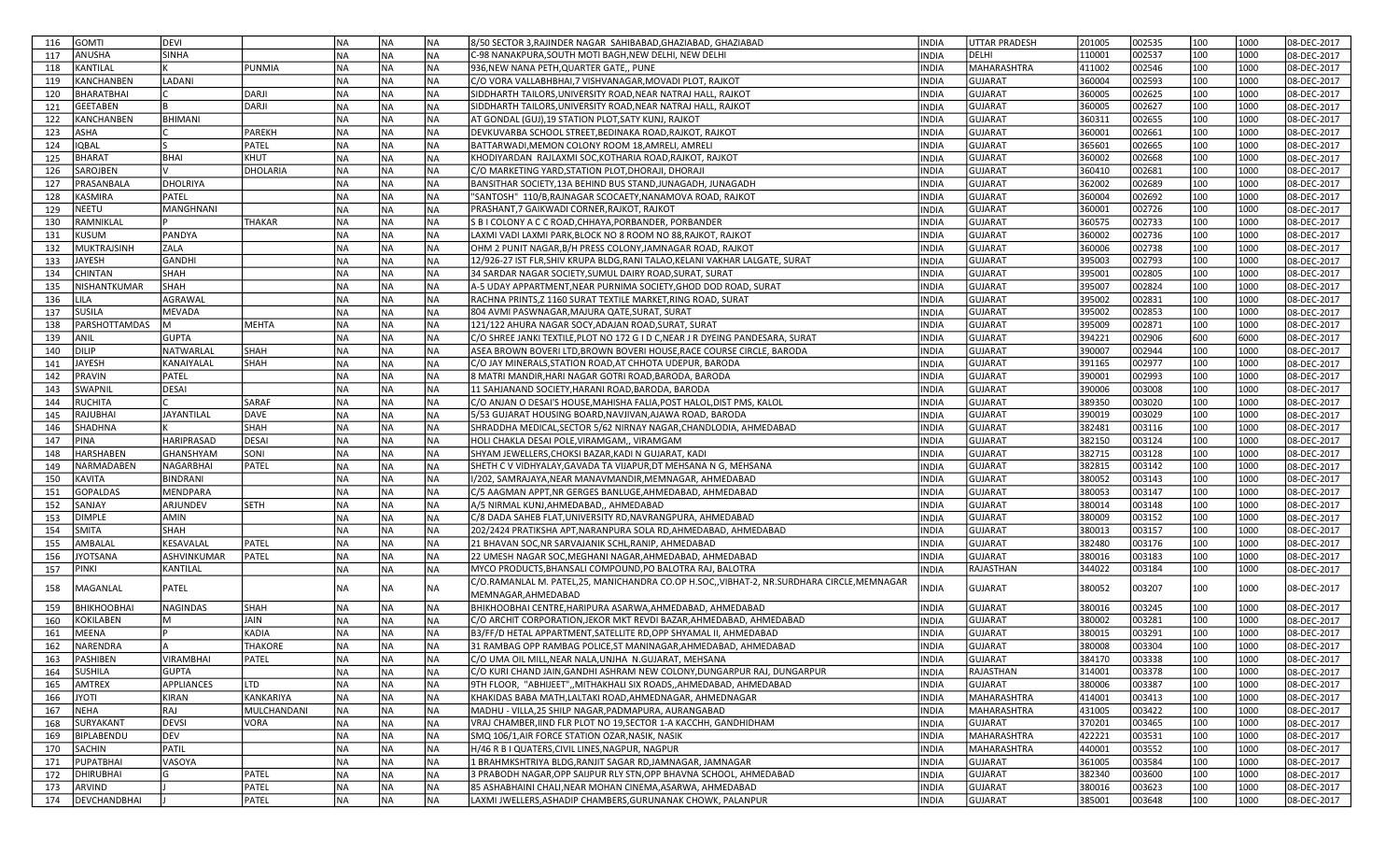| <b>GOMTI</b><br>116                           | <b>DEVI</b>       |                | NA        | NA        | NA.              | 8/50 SECTOR 3,RAJINDER NAGAR SAHIBABAD,GHAZIABAD, GHAZIABAD                                                                      | INDIA          | <b>UTTAR PRADESH</b>      | 201005           | 002535           | 100        | 1000         | 08-DEC-2017                |
|-----------------------------------------------|-------------------|----------------|-----------|-----------|------------------|----------------------------------------------------------------------------------------------------------------------------------|----------------|---------------------------|------------------|------------------|------------|--------------|----------------------------|
| ANUSHA<br>117                                 | <b>SINHA</b>      |                | INA       | <b>NA</b> | NA.              | C-98 NANAKPURA, SOUTH MOTI BAGH, NEW DELHI, NEW DELHI                                                                            | INDIA          | DELHI                     | 110001           | 002537           | 100        | 1000         | 08-DEC-2017                |
| KANTILAL<br>118                               |                   | PUNMIA         | INA       | <b>NA</b> | NA)              | 936,NEW NANA PETH,QUARTER GATE,, PUNE                                                                                            | <b>INDIA</b>   | <b>MAHARASHTRA</b>        | 411002           | 002546           | 100        | 1000         | 08-DEC-2017                |
| 119<br>KANCHANBEN                             | LADANI            |                | NA        | NA        | NA)              | C/O VORA VALLABHBHAI, 7 VISHVANAGAR, MOVADI PLOT, RAJKOT                                                                         | INDIA          | <b>GUJARAT</b>            | 360004           | 002593           | 100        | 1000         | 08-DEC-2017                |
| <b>BHARATBHAI</b><br>120                      |                   | DARJI          | INA       | NA        | NA)              | SIDDHARTH TAILORS, UNIVERSITY ROAD, NEAR NATRAJ HALL, RAJKOT                                                                     | INDIA          | <b>GUJARAT</b>            | 360005           | 002625           | 100        | 1000         | 08-DEC-2017                |
| <b>GEETABEN</b><br>121                        |                   | <b>DARJI</b>   | NA)       | <b>NA</b> | <b>NA</b>        | SIDDHARTH TAILORS, UNIVERSITY ROAD, NEAR NATRAJ HALL, RAJKOT                                                                     | INDIA          | <b>GUJARAT</b>            | 360005           | 002627           | 100        | 1000         | 08-DEC-2017                |
| 122<br>KANCHANBEN                             | <b>BHIMANI</b>    |                | <b>NA</b> | NA        | <b>NA</b>        | AT GONDAL (GUJ),19 STATION PLOT,SATY KUNJ, RAJKOT                                                                                | INDIA          | <b>GUJARAT</b>            | 360311           | 002655           | 100        | 1000         | 08-DEC-2017                |
| ASHA<br>123                                   |                   | PAREKH         | <b>NA</b> | NA        | <b>NA</b>        | DEVKUVARBA SCHOOL STREET, BEDINAKA ROAD, RAJKOT, RAJKOT                                                                          | INDIA          | <b>GUJARAT</b>            | 360001           | 002661           | 100        | 1000         | 08-DEC-2017                |
| 124<br><b>IQBAL</b>                           |                   | PATEL          | <b>NA</b> | NA        | NA)              | BATTARWADI, MEMON COLONY ROOM 18, AMRELI, AMRELI                                                                                 | INDIA          | <b>GUJARAT</b>            | 365601           | 002665           | 100        | 1000         | 08-DEC-2017                |
| <b>BHARAT</b><br>125                          | <b>BHAI</b>       | KHUT           | NA)       | NA        | <b>NA</b>        | KHODIYARDAN RAJLAXMI SOC, KOTHARIA ROAD, RAJKOT, RAJKOT                                                                          | INDIA          | <b>GUJARAT</b>            | 360002           | 002668           | 100        | 1000         | 08-DEC-2017                |
| SAROJBEN<br>126                               |                   | DHOLARIA       | <b>NA</b> | <b>NA</b> | NA)              | C/O MARKETING YARD, STATION PLOT, DHORAJI, DHORAJI                                                                               | INDIA          | <b>GUJARAT</b>            | 360410           | 002681           | 100        | 1000         | 08-DEC-2017                |
| PRASANBALA<br>127                             | <b>DHOLRIYA</b>   |                | INA       | <b>NA</b> | NA)              | BANSITHAR SOCIETY,13A BEHIND BUS STAND,JUNAGADH, JUNAGADH                                                                        | INDIA          | <b>GUJARAT</b>            | 362002           | 002689           | 100        | 1000         | 08-DEC-2017                |
| 128<br>KASMIRA                                | PATEL             |                | <b>NA</b> | <b>NA</b> | NA)              | "SANTOSH" 110/B, RAJNAGAR SCOCAETY, NANAMOVA ROAD, RAJKOT                                                                        | INDIA          | <b>GUJARAT</b>            | 360004           | 002692           | 100        | 1000         | 08-DEC-2017                |
| NEETU<br>129                                  | <b>MANGHNANI</b>  |                | <b>NA</b> | <b>NA</b> | <b>NA</b>        | PRASHANT,7 GAIKWADI CORNER, RAJKOT, RAJKOT                                                                                       | INDIA          | <b>GUJARAT</b>            | 360001           | 002726           | 100        | 1000         | 08-DEC-2017                |
| 130<br>RAMNIKLAL                              |                   | <b>THAKAR</b>  | <b>NA</b> | NA        | NA)              | S B I COLONY A C C ROAD, CHHAYA, PORBANDER, PORBANDER                                                                            | INDIA          | <b>GUJARAT</b>            | 360575           | 002733           | 100        | 1000         | 08-DEC-2017                |
| 131<br>KUSUM                                  | PANDYA            |                | INA       | <b>NA</b> | NA)              | LAXMI VADI LAXMI PARK, BLOCK NO 8 ROOM NO 88, RAJKOT, RAJKOT                                                                     | INDIA          | <b>GUJARAT</b>            | 360002           | 002736           | 100        | 1000         | 08-DEC-2017                |
| 132<br>MUKTRAJSINH                            | ZALA              |                | NA        | NA        | NA)              | OHM 2 PUNIT NAGAR, B/H PRESS COLONY, JAMNAGAR ROAD, RAJKOT                                                                       | INDIA          | <b>GUJARAT</b>            | 360006           | 002738           | 100        | 1000         | 08-DEC-2017                |
| <b>JAYESH</b><br>133                          | <b>GANDHI</b>     |                | INA       | NA        | NA)              | 12/926-27 IST FLR, SHIV KRUPA BLDG, RANI TALAO, KELANI VAKHAR LALGATE, SURAT                                                     | INDIA          | <b>GUJARAT</b>            | 395003           | 002793           | 100        | 1000         | 08-DEC-2017                |
| 134<br>CHINTAN                                | SHAH              |                | NA)       | <b>NA</b> | <b>NA</b>        | 34 SARDAR NAGAR SOCIETY, SUMUL DAIRY ROAD, SURAT, SURAT                                                                          | INDIA          | GUJARAT                   | 395001           | 002805           | 100        | 1000         | 08-DEC-2017                |
| 135<br>NISHANTKUMAR                           | SHAH              |                | <b>NA</b> | NA        | <b>NA</b>        | A-5 UDAY APPARTMENT,NEAR PURNIMA SOCIETY,GHOD DOD ROAD, SURAT                                                                    | INDIA          | <b>GUJARAT</b>            | 395007           | 002824           | 100        | 1000         | 08-DEC-2017                |
| 136<br>LILA                                   | <b>AGRAWAL</b>    |                | NA)       | NA        | <b>NA</b>        | RACHNA PRINTS, Z 1160 SURAT TEXTILE MARKET, RING ROAD, SURAT                                                                     | INDIA          | <b>GUJARAT</b>            | 395002           | 002831           | 100        | 1000         | 08-DEC-2017                |
| <b>SUSILA</b><br>137                          | <b>MEVADA</b>     |                | <b>NA</b> | NA        | NA)              | 804 AVMI PASWNAGAR, MAJURA QATE, SURAT, SURAT                                                                                    | INDIA          | <b>GUJARAT</b>            | 395002           | 002853           | 100        | 1000         | 08-DEC-2017                |
| PARSHOTTAMDAS<br>138                          | M                 | MEHTA          | <b>NA</b> | <b>NA</b> | <b>NA</b>        | 121/122 AHURA NAGAR SOCY, ADAJAN ROAD, SURAT, SURAT                                                                              | INDIA          | <b>GUJARAT</b>            | 395009           | 002871           | 100        | 1000         | 08-DEC-2017                |
| 139<br>ANIL                                   | <b>GUPTA</b>      |                | INA       | <b>NA</b> | NA)              | C/O SHREE JANKI TEXTILE, PLOT NO 172 G I D C, NEAR J R DYEING PANDESARA, SURAT                                                   | INDIA          | GUJARAT                   | 394221           | 002906           | 600        | 6000         | 08-DEC-2017                |
| DILIP<br>140                                  | NATWARLAL         | <b>SHAH</b>    | Ina       | <b>NA</b> | <b>NA</b>        | ASEA BROWN BOVERI LTD, BROWN BOVERI HOUSE, RACE COURSE CIRCLE, BARODA                                                            | INDIA          | <b>GUJARAT</b>            | 390007           | 002944           | 100        | 1000         | 08-DEC-2017                |
| <b>JAYESH</b><br>141                          | KANAIYALAL        | <b>SHAH</b>    | <b>NA</b> | NA        | NA               | C/O JAY MINERALS, STATION ROAD, AT CHHOTA UDEPUR, BARODA                                                                         | INDIA          | <b>GUJARAT</b>            | 391165           | 002977           | 100        | 1000         | 08-DEC-2017                |
| PRAVIN<br>142                                 | PATEL             |                | <b>NA</b> | <b>NA</b> | NA)              | 8 MATRI MANDIR, HARI NAGAR GOTRI ROAD, BARODA, BARODA                                                                            | INDIA          | <b>GUJARAT</b>            | 390001           | 002993           | 100        | 1000         | 08-DEC-2017                |
| SWAPNII<br>143                                | DESAI             |                | İNA       | NA        | NA)              | 11 SAHJANAND SOCIETY, HARANI ROAD, BARODA, BARODA                                                                                | INDIA          | <b>GUJARAT</b>            | 390006           | 003008           | 100        | 1000         | 08-DEC-2017                |
| RUCHITA<br>144                                |                   | <b>SARAF</b>   | INA       | NA        | NA)              | C/O ANJAN O DESAI'S HOUSE, MAHISHA FALIA, POST HALOL, DIST PMS, KALOL                                                            | INDIA          | <b>GUJARAT</b>            | 389350           | 003020           | 100        | 1000         | 08-DEC-2017                |
| 145<br>RAJUBHAI                               | <b>JAYANTILAL</b> | DAVE           | INA       | NA        | NA)              | 5/53 GUJARAT HOUSING BOARD, NAVJIVAN, AJAWA ROAD, BARODA                                                                         | INDIA          | <b>GUJARAT</b>            | 390019           | 003029           | 100        | 1000         | 08-DEC-2017                |
| SHADHNA<br>146                                |                   | <b>SHAH</b>    | NA)       | <b>NA</b> | <b>NA</b>        | SHRADDHA MEDICAL, SECTOR 5/62 NIRNAY NAGAR, CHANDLODIA, AHMEDABAD                                                                | INDIA          | <b>GUJARAT</b>            | 382481           | 003116           | 100        | 1000         | 08-DEC-2017                |
| 147<br>PINA                                   | HARIPRASAD        | DESAI          | NA)       | NA        | <b>NA</b>        | HOLI CHAKLA DESAI POLE, VIRAMGAM,, VIRAMGAM                                                                                      | INDIA          | GUJARAT                   | 382150           | 003124           | 100        | 1000         | 08-DEC-2017                |
| HARSHABEN<br>148                              | GHANSHYAM         | <b>SONI</b>    | <b>NA</b> | NA        | <b>NA</b>        | SHYAM JEWELLERS, CHOKSI BAZAR, KADI N GUJARAT, KADI                                                                              | INDIA          | <b>GUJARAT</b>            | 382715           | 003128           | 100        | 1000         | 08-DEC-2017                |
| NARMADABEN<br>149                             | NAGARBHAI         | PATEL          | NA)       | NA        | <b>NA</b>        | SHETH C V VIDHYALAY, GAVADA TA VIJAPUR, DT MEHSANA N G, MEHSANA                                                                  | INDIA          | <b>GUJARAT</b>            | 382815           | 003142           | 100        | 1000         | 08-DEC-2017                |
| 150<br>KAVITA                                 | BINDRANI          |                | NA        | <b>NA</b> | NA)              | I/202, SAMRAJAYA, NEAR MANAVMANDIR, MEMNAGAR, AHMEDABAD                                                                          | INDIA          | <b>GUJARAT</b>            | 380052           | 003143           | 100        | 1000         | 08-DEC-2017                |
| <b>GOPALDAS</b><br>151                        | MENDPARA          |                | Ina       | <b>NA</b> | <b>NA</b>        | C/5 AAGMAN APPT, NR GERGES BANLUGE, AHMEDABAD, AHMEDABAD                                                                         | <b>INDIA</b>   | <b>GUJARAT</b>            | 380053           | 003147           | 100        | 1000         | 08-DEC-2017                |
| 152<br>SANJAY                                 | ARJUNDEV          | <b>SETH</b>    | INA       | <b>NA</b> | <b>NA</b>        | A/5 NIRMAL KUNJ, AHMEDABAD,, AHMEDABAD                                                                                           | INDIA          | <b>GUJARAT</b>            | 380014           | 003148           | 100        | 1000         | 08-DEC-2017                |
| <b>DIMPLE</b><br>153                          | AMIN              |                | Ina       | <b>NA</b> | <b>NA</b>        | C/8 DADA SAHEB FLAT, UNIVERSITY RD, NAVRANGPURA, AHMEDABAD                                                                       | INDIA          | <b>GUJARAT</b>            | 380009           | 003152           | 100        | 1000         | 08-DEC-2017                |
| <b>SMITA</b><br>154                           | SHAH              |                | NA        | NA        | NA)              | 202/2424 PRATIKSHA APT, NARANPURA SOLA RD, AHMEDABAD, AHMEDABAD                                                                  | INDIA          | <b>GUJARAT</b>            | 380013           | 003157           | 100        | 1000         | 08-DEC-2017                |
| 155<br>AMBALAL                                | KESAVALAL         | PATEL          | NA        | <b>NA</b> | NA)              | 21 BHAVAN SOC, NR SARVAJANIK SCHL, RANIP, AHMEDABAD                                                                              | INDIA          | <b>GUJARAT</b>            | 382480           | 003176           | 100        | 1000         | 08-DEC-2017                |
| 156<br><b>JYOTSANA</b>                        | ASHVINKUMAR       | PATEL          | İNA       | NA        | NA)              | 22 UMESH NAGAR SOC, MEGHANI NAGAR, AHMEDABAD, AHMEDABAD                                                                          | INDIA          | <b>GUJARAT</b>            | 380016           | 003183           | 100        | 1000         | 08-DEC-2017                |
| PINKI<br>157                                  | KANTILAL          |                | NA        | NA        | <b>NA</b>        | MYCO PRODUCTS, BHANSALI COMPOUND, PO BALOTRA RAJ, BALOTRA                                                                        | INDIA          | RAJASTHAN                 | 344022           | 003184           | 100        | 1000         | 08-DEC-2017                |
| MAGANLAL<br>158                               | PATEL             |                | <b>NA</b> | NA        | INA.             | C/O.RAMANLAL M. PATEL,25, MANICHANDRA CO.OP H.SOC,,VIBHAT-2, NR.SURDHARA CIRCLE,MEMNAGAR                                         | NDIA           | <b>GUJARAT</b>            | 380052           | 003207           | 100        | 1000         | 08-DEC-2017                |
|                                               |                   |                |           |           |                  | MEMNAGAR, AHMEDABAD                                                                                                              |                |                           |                  |                  |            |              |                            |
| 159<br>BHIKHOOBHAI<br><b>KOKILABEN</b><br>160 | NAGINDAS<br>M     | SHAH<br>JAIN   | NA<br> NA | NA<br>NA  | <b>NA</b><br>NA. | BHIKHOOBHAI CENTRE, HARIPURA ASARWA, AHMEDABAD, AHMEDABAD<br>C/O ARCHIT CORPORATION, JEKOR MKT REVDI BAZAR, AHMEDABAD, AHMEDABAD | INDIA<br>INDIA | GUJARAT<br><b>GUJARAT</b> | 380016<br>380002 | 003245<br>003281 | 100<br>100 | 1000<br>1000 | 08-DEC-2017<br>08-DEC-2017 |
| <b>MEENA</b><br>161                           |                   | KADIA          | INA       | NA        | <b>NA</b>        | B3/FF/D HETAL APPARTMENT, SATELLITE RD, OPP SHYAMAL II, AHMEDABAD                                                                | INDIA          | <b>GUJARAT</b>            | 380015           | 003291           | 100        | 1000         | 08-DEC-2017                |
| 162<br>NARENDRA                               |                   | <b>THAKORE</b> | INA       | NA        | NA)              | 31 RAMBAG OPP RAMBAG POLICE,ST MANINAGAR,AHMEDABAD, AHMEDABAD                                                                    | INDIA          | <b>GUJARAT</b>            | 380008           | 003304           | 100        | 1000         | 08-DEC-2017                |
| 163<br>PASHIBEN                               | VIRAMBHAI         | PATEL          | Ina       | <b>NA</b> | INA.             | C/O UMA OIL MILL, NEAR NALA, UNJHA N.GUJARAT, MEHSANA                                                                            | <b>INDIA</b>   | lgujarat                  | 384170           | 003338           | 100        | 1000         | 08-DEC-2017                |
| <b>SUSHILA</b><br>164                         | <b>GUPTA</b>      |                | NA)       | NA.       | NA)              | C/O KURI CHAND JAIN, GANDHI ASHRAM NEW COLONY, DUNGARPUR RAJ, DUNGARPUR                                                          | <b>INDIA</b>   | RAJASTHAN                 | 314001           | 003378           | 100        | 1000         | 08-DEC-2017                |
| 165<br>AMTREX                                 | APPLIANCES        | <b>LTD</b>     | <b>NA</b> | NA)       | <b>NA</b>        | 9TH FLOOR,  "АВНІЈЕЕТ",,МІТНАКНАLІ SIX ROADS,,АНМЕDАВАD, АНМЕDАВАD                                                               | INDIA          | <b>GUJARAT</b>            | 380006           | 003387           | 100        | 1000         | 08-DEC-2017                |
| 166<br><b>JYOTI</b>                           | <b>KIRAN</b>      | KANKARIYA      | <b>NA</b> | <b>NA</b> | <b>NA</b>        | KHAKIDAS BABA MATH,LALTAKI ROAD,AHMEDNAGAR, AHMEDNAGAR                                                                           | <b>INDIA</b>   | <b>MAHARASHTRA</b>        | 414001           | 003413           | 100        | 1000         | 08-DEC-2017                |
| NEHA<br>167                                   | RAJ               | MULCHANDANI    | NA)       | <b>NA</b> | NA)              | MADHU - VILLA, 25 SHILP NAGAR, PADMAPURA, AURANGABAD                                                                             | <b>INDIA</b>   | <b>MAHARASHTRA</b>        | 431005           | 003422           | 100        | 1000         | 08-DEC-2017                |
| SURYAKANT<br>168                              | <b>DEVSI</b>      | <b>VORA</b>    | <b>NA</b> | <b>NA</b> | NA)              | VRAJ CHAMBER, IIND FLR PLOT NO 19, SECTOR 1-A KACCHH, GANDHIDHAM                                                                 | <b>INDIA</b>   | GUJARAT                   | 370201           | 003465           | 100        | 1000         | 08-DEC-2017                |
| BIPLABENDU<br>169                             | <b>DEV</b>        |                | <b>NA</b> | NA        | NA)              | SMQ 106/1,AIR FORCE STATION OZAR,NASIK, NASIK                                                                                    | INDIA          | MAHARASHTRA               | 422221           | 003531           | 100        | 1000         | 08-DEC-2017                |
| <b>SACHIN</b><br>170                          | PATIL             |                | NA)       | NA        | <b>NA</b>        | H/46 R B I QUATERS, CIVIL LINES, NAGPUR, NAGPUR                                                                                  | INDIA          | MAHARASHTRA               | 440001           | 003552           | 100        | 1000         | 08-DEC-2017                |
| PUPATBHAI<br>171                              | VASOYA            |                | NA)       | NA        | <b>NA</b>        | 1 BRAHMKSHTRIYA BLDG, RANJIT SAGAR RD, JAMNAGAR, JAMNAGAR                                                                        | INDIA          | <b>GUJARAT</b>            | 361005           | 003584           | 100        | 1000         | 08-DEC-2017                |
| DHIRUBHAI<br>172                              | G                 | PATEL          | NA)       | NA        | <b>NA</b>        | 3 PRABODH NAGAR, OPP SAIJPUR RLY STN, OPP BHAVNA SCHOOL, AHMEDABAD                                                               | INDIA          | <b>GUJARAT</b>            | 382340           | 003600           | 100        | 1000         | 08-DEC-2017                |
| 173<br>ARVIND                                 |                   | PATEL          | NA        | <b>NA</b> | NA               | 85 ASHABHAINI CHALI,NEAR MOHAN CINEMA,ASARWA, AHMEDABAD                                                                          | <b>INDIA</b>   | GUJARAT                   | 380016           | 003623           | 100        | 1000         | 08-DEC-2017                |
| 174   DEVCHANDBHAI                            |                   | PATEL          | NA)       | <b>NA</b> | NA.              | LAXMI JWELLERS,ASHADIP CHAMBERS,GURUNANAK CHOWK, PALANPUR                                                                        | <b>INDIA</b>   | GUJARAT                   | 385001           | 003648           | 100        | 1000         | 08-DEC-2017                |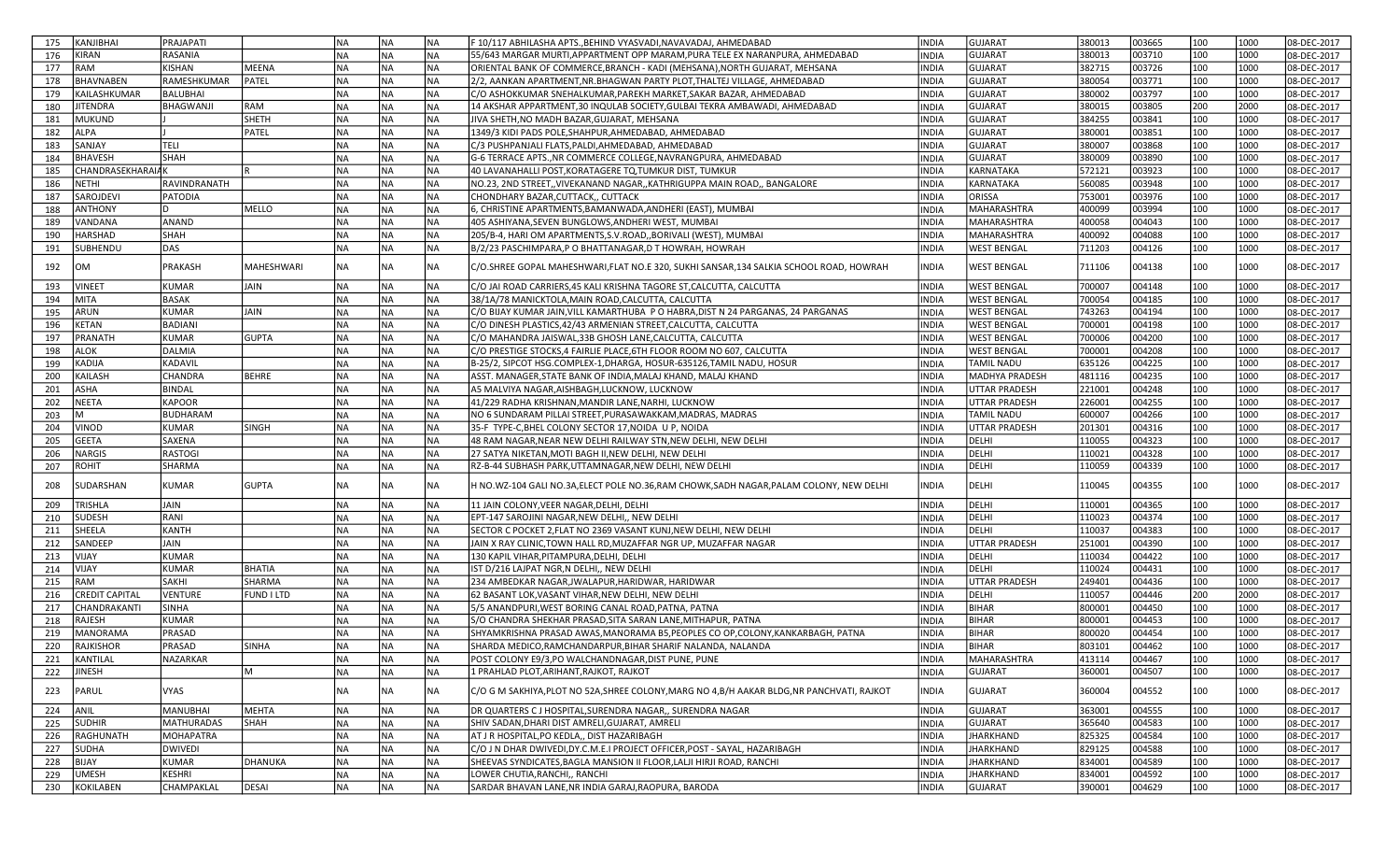| KANJIBHAI<br>175                 | PRAJAPATI         |                   | NA        | NA        | <b>INA</b> | F 10/117 ABHILASHA APTS.,BEHIND VYASVADI,NAVAVADAJ, AHMEDABAD                                  | <b>INDIA</b> | <b>GUJARAT</b>        | 380013 | 003665 | 100 | 1000 | 08-DEC-2017 |
|----------------------------------|-------------------|-------------------|-----------|-----------|------------|------------------------------------------------------------------------------------------------|--------------|-----------------------|--------|--------|-----|------|-------------|
| KIRAN<br>176                     | RASANIA           |                   | Ina       | NA        | NA)        | 55/643 MARGAR MURTI, APPARTMENT OPP MARAM, PURA TELE EX NARANPURA, AHMEDABAD                   | <b>INDIA</b> | <b>GUJARAT</b>        | 380013 | 003710 | 100 | 1000 | 08-DEC-2017 |
| RAM<br>177                       | KISHAN            | MEENA             | INA       | NA        | NA)        | ORIENTAL BANK OF COMMERCE, BRANCH - KADI (MEHSANA), NORTH GUJARAT, MEHSANA                     | <b>INDIA</b> | <b>GUJARAT</b>        | 382715 | 003726 | 100 | 1000 | 08-DEC-2017 |
| 178<br><b>BHAVNABEN</b>          | RAMESHKUMAR       | PATEL             | İNA       | NA        | NA)        | 2/2, AANKAN APARTMENT, NR. BHAGWAN PARTY PLOT, THALTEJ VILLAGE, AHMEDABAD                      | INDIA        | <b>GUJARAT</b>        | 380054 | 003771 | 100 | 1000 | 08-DEC-2017 |
| KAILASHKUMAR<br>179              | <b>BALUBHAI</b>   |                   | Ina       | <b>NA</b> | <b>NA</b>  | C/O ASHOKKUMAR SNEHALKUMAR,PAREKH MARKET,SAKAR BAZAR, AHMEDABAD                                | <b>INDIA</b> | GUJARAT               | 380002 | 003797 | 100 | 1000 | 08-DEC-2017 |
| <b>IITENDRA</b><br>180           | BHAGWANJI         | RAM               | <b>NA</b> | NA        | <b>NA</b>  | 14 AKSHAR APPARTMENT, 30 INQULAB SOCIETY, GULBAI TEKRA AMBAWADI, AHMEDABAD                     | INDIA        | GUJARAT               | 380015 | 003805 | 200 | 2000 | 08-DEC-2017 |
| MUKUND<br>181                    |                   | SHETH             | NA)       | NA        | <b>NA</b>  | JIVA SHETH, NO MADH BAZAR, GUJARAT, MEHSANA                                                    | INDIA        | <b>GUJARAT</b>        | 384255 | 003841 | 100 | 1000 | 08-DEC-2017 |
| ALPA<br>182                      |                   | PATEL             | Ina       | NA        | <b>NA</b>  | 1349/3 KIDI PADS POLE, SHAHPUR, AHMEDABAD, AHMEDABAD                                           | INDIA        | <b>GUJARAT</b>        | 380001 | 003851 | 100 | 1000 | 08-DEC-2017 |
| 183<br>SANJAY                    | <b>TELI</b>       |                   | <b>NA</b> | NA        | NA)        | C/3 PUSHPANJALI FLATS, PALDI, AHMEDABAD, AHMEDABAD                                             | INDIA        | <b>GUJARAT</b>        | 380007 | 003868 | 100 | 1000 | 08-DEC-2017 |
| <b>BHAVESH</b><br>184            | <b>SHAH</b>       |                   | Ina       | <b>NA</b> | <b>NA</b>  | G-6 TERRACE APTS., NR COMMERCE COLLEGE, NAVRANGPURA, AHMEDABAD                                 | <b>INDIA</b> | <b>GUJARAT</b>        | 380009 | 003890 | 100 | 1000 | 08-DEC-2017 |
| <b>CHANDRASEKHARAIAK</b><br>185  |                   |                   | Ina       | NA        | NA)        | 40 LAVANAHALLI POST, KORATAGERE TQ, TUMKUR DIST, TUMKUR                                        | INDIA        | KARNATAKA             | 572121 | 003923 | 100 | 1000 | 08-DEC-2017 |
| 186<br>NETHI                     | RAVINDRANATH      |                   | INA       | <b>NA</b> | <b>NA</b>  | NO.23, 2ND STREET,, VIVEKANAND NAGAR,, KATHRIGUPPA MAIN ROAD,, BANGALORE                       | INDIA        | KARNATAKA             | 560085 | 003948 | 100 | 1000 | 08-DEC-2017 |
| 187<br>SAROJDEVI                 | <b>PATODIA</b>    |                   | INA       | NA        | NA)        | CHONDHARY BAZAR, CUTTACK,, CUTTACK                                                             | INDIA        | ORISSA                | 753001 | 003976 | 100 | 1000 | 08-DEC-2017 |
| ANTHONY<br>188                   | D.                | MELLO             | İNA       | NA        | NA)        | 6, CHRISTINE APARTMENTS, BAMANWADA, ANDHERI (EAST), MUMBAI                                     | INDIA        | MAHARASHTRA           | 400099 | 003994 | 100 | 1000 | 08-DEC-2017 |
| 189<br>VANDANA                   | ANAND             |                   | INA       | NA        | NA)        | 405 ASHIYANA, SEVEN BUNGLOWS, ANDHERI WEST, MUMBAI                                             | INDIA        | MAHARASHTRA           | 400058 | 004043 | 100 | 1000 | 08-DEC-2017 |
| 190<br><b>HARSHAD</b>            | <b>SHAH</b>       |                   | INA       | NA        | NA)        | 205/B-4, HARI OM APARTMENTS, S.V. ROAD,, BORIVALI (WEST), MUMBAI                               | <b>INDIA</b> | <b>MAHARASHTRA</b>    | 400092 | 004088 | 100 | 1000 | 08-DEC-2017 |
| SUBHENDU<br>191                  | DAS               |                   | <b>NA</b> | <b>NA</b> | <b>NA</b>  | B/2/23 PASCHIMPARA, P O BHATTANAGAR, D T HOWRAH, HOWRAH                                        | INDIA        | WEST BENGAL           | 711203 | 004126 | 100 | 1000 | 08-DEC-2017 |
|                                  |                   |                   |           |           |            |                                                                                                |              |                       |        |        |     |      |             |
| 192<br>OM                        | PRAKASH           | <b>MAHESHWARI</b> | NA        | NA        | <b>NA</b>  | C/O.SHREE GOPAL MAHESHWARI,FLAT NO.E 320, SUKHI SANSAR,134 SALKIA SCHOOL ROAD, HOWRAH          | INDIA        | WEST BENGAL           | 711106 | 004138 | 100 | 1000 | 08-DEC-2017 |
| <b>VINEET</b><br>193             | <b>KUMAR</b>      | JAIN              | <b>NA</b> | NA        | <b>NA</b>  | C/O JAI ROAD CARRIERS, 45 KALI KRISHNA TAGORE ST, CALCUTTA, CALCUTTA                           | <b>INDIA</b> | <b>WEST BENGAL</b>    | 700007 | 004148 | 100 | 1000 | 08-DEC-2017 |
| MITA<br>194                      | <b>BASAK</b>      |                   | Ina       | NA        | <b>NA</b>  | 38/1A/78 MANICKTOLA,MAIN ROAD,CALCUTTA, CALCUTTA                                               | <b>INDIA</b> | <b>WEST BENGAL</b>    | 700054 | 004185 | 100 | 1000 | 08-DEC-2017 |
| ARUN<br>195                      | <b>KUMAR</b>      | JAIN              | INA       | NA        | NA)        | C/O BIJAY KUMAR JAIN, VILL KAMARTHUBA P O HABRA, DIST N 24 PARGANAS, 24 PARGANAS               | INDIA        | <b>WEST BENGAL</b>    | 743263 | 004194 | 100 | 1000 | 08-DEC-2017 |
| KETAN<br>196                     | <b>BADIANI</b>    |                   | INA       | <b>NA</b> | <b>NA</b>  | C/O DINESH PLASTICS, 42/43 ARMENIAN STREET, CALCUTTA, CALCUTTA                                 | <b>INDIA</b> | WEST BENGAL           | 700001 | 004198 | 100 | 1000 | 08-DEC-2017 |
| 197<br>PRANATH                   | <b>KUMAR</b>      | <b>GUPTA</b>      | NA)       | <b>NA</b> | NA)        | C/O MAHANDRA JAISWAL,33B GHOSH LANE,CALCUTTA, CALCUTTA                                         | INDIA        | WEST BENGAL           | 700006 | 004200 | 100 | 1000 | 08-DEC-2017 |
| 198<br><b>ALOK</b>               | DALMIA            |                   | <b>NA</b> | <b>NA</b> | <b>NA</b>  | C/O PRESTIGE STOCKS,4 FAIRLIE PLACE,6TH FLOOR ROOM NO 607, CALCUTTA                            | INDIA        | WEST BENGAL           | 700001 | 004208 | 100 | 1000 | 08-DEC-2017 |
| 199<br>KADIJA                    | KADAVIL           |                   | <b>NA</b> | NA        | NA)        | B-25/2, SIPCOT HSG.COMPLEX-1, DHARGA, HOSUR-635126, TAMIL NADU, HOSUR                          | INDIA        | <b>TAMIL NADU</b>     | 635126 | 004225 | 100 | 1000 | 08-DEC-2017 |
| 200<br>KAILASH                   | CHANDRA           | <b>BEHRE</b>      | INA       | NA        | NA)        | ASST. MANAGER.STATE BANK OF INDIA.MALAJ KHAND. MALAJ KHAND                                     | INDIA        | <b>MADHYA PRADESH</b> | 481116 | 004235 | 100 | 1000 | 08-DEC-2017 |
| 201<br><b>ASHA</b>               | <b>BINDAL</b>     |                   | Ina       | NA        | NA)        | A5 MALVIYA NAGAR, AISHBAGH, LUCKNOW, LUCKNOW                                                   | <b>INDIA</b> | <b>UTTAR PRADESH</b>  | 221001 | 004248 | 100 | 1000 | 08-DEC-2017 |
| <b>NEETA</b><br>202              | <b>KAPOOR</b>     |                   | INA       | NA        | NA)        | 41/229 RADHA KRISHNAN, MANDIR LANE, NARHI, LUCKNOW                                             | INDIA        | <b>UTTAR PRADESH</b>  | 226001 | 004255 | 100 | 1000 | 08-DEC-2017 |
| 203                              | <b>BUDHARAM</b>   |                   | <b>NA</b> | <b>NA</b> | <b>NA</b>  | NO 6 SUNDARAM PILLAI STREET, PURASAWAKKAM, MADRAS, MADRAS                                      | INDIA        | TAMIL NADU            | 600007 | 004266 | 100 | 1000 | 08-DEC-2017 |
| 204<br>VINOD                     | KUMAR             | <b>SINGH</b>      | <b>NA</b> | NA        | <b>NA</b>  | 35-F TYPE-C, BHEL COLONY SECTOR 17, NOIDA U P, NOIDA                                           | INDIA        | UTTAR PRADESH         | 201301 | 004316 | 100 | 1000 | 08-DEC-2017 |
| <b>GEETA</b><br>205              | SAXENA            |                   | NA)       | NA        | <b>NA</b>  | 48 RAM NAGAR, NEAR NEW DELHI RAILWAY STN, NEW DELHI, NEW DELHI                                 | INDIA        | DELHI                 | 110055 | 004323 | 100 | 1000 | 08-DEC-2017 |
| <b>NARGIS</b><br>206             | <b>RASTOGI</b>    |                   | NA)       | NA        | <b>NA</b>  | 27 SATYA NIKETAN, MOTI BAGH II, NEW DELHI, NEW DELHI                                           | INDIA        | DELHI                 | 110021 | 004328 | 100 | 1000 | 08-DEC-2017 |
| <b>ROHIT</b><br>207              | SHARMA            |                   | <b>NA</b> | NA        | <b>NA</b>  | RZ-B-44 SUBHASH PARK, UTTAMNAGAR, NEW DELHI, NEW DELHI                                         | INDIA        | DELHI                 | 110059 | 004339 | 100 | 1000 | 08-DEC-2017 |
| SUDARSHAN<br>208                 | KUMAR             | <b>GUPTA</b>      | <b>NA</b> | NA        | <b>NA</b>  | H NO.WZ-104 GALI NO.3A,ELECT POLE NO.36,RAM CHOWK,SADH NAGAR,PALAM COLONY, NEW DELHI           | INDIA        | DELHI                 | 110045 | 004355 | 100 | 1000 | 08-DEC-2017 |
| TRISHLA<br>209                   | JAIN              |                   | <b>NA</b> | NA        | <b>NA</b>  | 11 JAIN COLONY, VEER NAGAR, DELHI, DELHI                                                       | INDIA        | DELHI                 | 110001 | 004365 | 100 | 1000 | 08-DEC-2017 |
| <b>SUDESH</b><br>210             | RANI              |                   | INA       | <b>NA</b> | <b>NA</b>  | EPT-147 SAROJINI NAGAR, NEW DELHI,, NEW DELHI                                                  | INDIA        | DELHI                 | 110023 | 004374 | 100 | 1000 | 08-DEC-2017 |
| <b>SHEELA</b><br>211             | <b>KANTH</b>      |                   | Ina       | NA        | NA)        | SECTOR C POCKET 2, FLAT NO 2369 VASANT KUNJ, NEW DELHI, NEW DELHI                              | INDIA        | DELHI                 | 110037 | 004383 | 100 | 1000 | 08-DEC-2017 |
| SANDEER<br>212                   | JAIN              |                   | NA        | NA        | NA)        | JAIN X RAY CLINIC, TOWN HALL RD, MUZAFFAR NGR UP, MUZAFFAR NAGAR                               | INDIA        | UTTAR PRADESH         | 251001 | 004390 | 100 | 1000 | 08-DEC-2017 |
| 213<br>VIJAY                     | <b>KUMAR</b>      |                   | INA       | NA        | NA)        | 130 KAPIL VIHAR, PITAMPURA, DELHI, DELHI                                                       | INDIA        | DELHI                 | 110034 | 004422 | 100 | 1000 | 08-DEC-2017 |
| VIJAY<br>214                     | <b>KUMAR</b>      | BHATIA            | <b>NA</b> | NA        | <b>NA</b>  | IST D/216 LAJPAT NGR, N DELHI,, NEW DELHI                                                      | INDIA        | DELHI                 | 110024 | 004431 | 100 | 1000 | 08-DEC-2017 |
| 215<br>RAM                       | SAKHI             | <b>SHARMA</b>     | <b>NA</b> | NA        | <b>NA</b>  | 234 AMBEDKAR NAGAR, JWALAPUR, HARIDWAR, HARIDWAR                                               | INDIA        | UTTAR PRADESH         | 249401 | 004436 | 100 | 1000 | 08-DEC-2017 |
| <b>CREDIT CAPITAL</b><br>216     | <b>VENTURE</b>    | FUND I LTD        | <b>NA</b> | NA        | <b>NA</b>  | 62 BASANT LOK, VASANT VIHAR, NEW DELHI, NEW DELHI                                              | INDIA        | DELHI                 | 110057 | 004446 | 200 | 2000 | 08-DEC-2017 |
| CHANDRAKANTI<br>217              | SINHA             |                   | NA)       | NA        | <b>NA</b>  | 5/5 ANANDPURI,WEST BORING CANAL ROAD,PATNA, PATNA                                              | INDIA        | <b>BIHAR</b>          | 800001 | 004450 | 100 | 1000 | 08-DEC-2017 |
| 218<br>RAJESH                    | <b>KUMAR</b>      |                   | <b>NA</b> | NA        | NA)        | S/O CHANDRA SHEKHAR PRASAD, SITA SARAN LANE, MITHAPUR, PATNA                                   | INDIA        | <b>BIHAR</b>          | 800001 | 004453 | 100 | 1000 | 08-DEC-2017 |
| MANORAMA<br>219                  | PRASAD            |                   | <b>NA</b> | NA        | <b>NA</b>  | SHYAMKRISHNA PRASAD AWAS,MANORAMA B5,PEOPLES CO OP,COLONY,KANKARBAGH, PATNA                    | <b>INDIA</b> | <b>BIHAR</b>          | 800020 | 004454 | 100 | 1000 | 08-DEC-2017 |
| 220<br>RAJKISHOR                 | PRASAD            | <b>SINHA</b>      | <b>NA</b> | <b>NA</b> | INA        | ISHARDA MEDICO.RAMCHANDARPUR.BIHAR SHARIF NALANDA. NALANDA                                     | INDIA        | <b>BIHAR</b>          | 803101 | 004462 | 100 | 1000 | 08-DEC-2017 |
| 221                              | NAZARKAR          |                   | NA        | <b>NA</b> | <b>NA</b>  |                                                                                                | <b>INDIA</b> | MAHARASHTRA           | 413114 | 004467 | 100 | 1000 | 08-DEC-2017 |
| KANTILAL<br>222<br><b>JINESH</b> |                   | Iм                | NA)       | <b>NA</b> | NA)        | POST COLONY E9/3, PO WALCHANDNAGAR, DIST PUNE, PUNE<br>1 PRAHLAD PLOT, ARIHANT, RAJKOT, RAJKOT | <b>INDIA</b> | <b>GUJARAT</b>        | 360001 | 004507 | 100 | 1000 | 08-DEC-2017 |
|                                  |                   |                   |           |           |            |                                                                                                |              |                       |        |        |     |      |             |
| 223<br>PARUL                     | VYAS              |                   | <b>NA</b> | NA        | <b>NA</b>  | C/O G M SAKHIYA, PLOT NO 52A, SHREE COLONY, MARG NO 4, B/H AAKAR BLDG, NR PANCHVATI, RAJKOT    | INDIA        | <b>GUJARAT</b>        | 360004 | 004552 | 100 | 1000 | 08-DEC-2017 |
| ANIL<br>224                      | <b>MANUBHAI</b>   | MEHTA             | <b>NA</b> | <b>NA</b> | NA)        | DR QUARTERS C J HOSPITAL, SURENDRA NAGAR,, SURENDRA NAGAR                                      | INDIA        | GUJARAT               | 363001 | 004555 | 100 | 1000 | 08-DEC-2017 |
| 225<br><b>SUDHIR</b>             | <b>MATHURADAS</b> | SHAH              | NA)       | NA        | NA)        | SHIV SADAN,DHARI DIST AMRELI,GUJARAT, AMRELI                                                   | INDIA        | <b>GUJARAT</b>        | 365640 | 004583 | 100 | 1000 | 08-DEC-2017 |
| 226<br>RAGHUNATH                 | <b>MOHAPATRA</b>  |                   | NA)       | NA        | <b>NA</b>  | AT J R HOSPITAL,PO KEDLA,, DIST HAZARIBAGH                                                     | INDIA        | JHARKHAND             | 825325 | 004584 | 100 | 1000 | 08-DEC-2017 |
| <b>SUDHA</b><br>227              | <b>DWIVEDI</b>    |                   | NA)       | NA        | <b>NA</b>  | C/O J N DHAR DWIVEDI, DY.C.M.E.I PROJECT OFFICER, POST - SAYAL, HAZARIBAGH                     | INDIA        | JHARKHAND             | 829125 | 004588 | 100 | 1000 | 08-DEC-2017 |
| 228<br><b>BIJAY</b>              | <b>KUMAR</b>      | DHANUKA           | NA)       | NA        | NA         | SHEEVAS SYNDICATES, BAGLA MANSION II FLOOR, LALJI HIRJI ROAD, RANCHI                           | INDIA        | <b>JHARKHAND</b>      | 834001 | 004589 | 100 | 1000 | 08-DEC-2017 |
| UMESH<br>229                     | <b>KESHRI</b>     |                   | NA)       | <b>NA</b> | NA.        | LOWER CHUTIA, RANCHI,, RANCHI                                                                  | <b>INDIA</b> | <b>JHARKHAND</b>      | 834001 | 004592 | 100 | 1000 | 08-DEC-2017 |
| KOKILABEN<br>230                 | CHAMPAKLAL        | DESAI             | NA)       | <b>NA</b> | NA.        | SARDAR BHAVAN LANE, NR INDIA GARAJ, RAOPURA, BARODA                                            | INDIA        | <b>GUJARAT</b>        | 390001 | 004629 | 100 | 1000 | 08-DEC-2017 |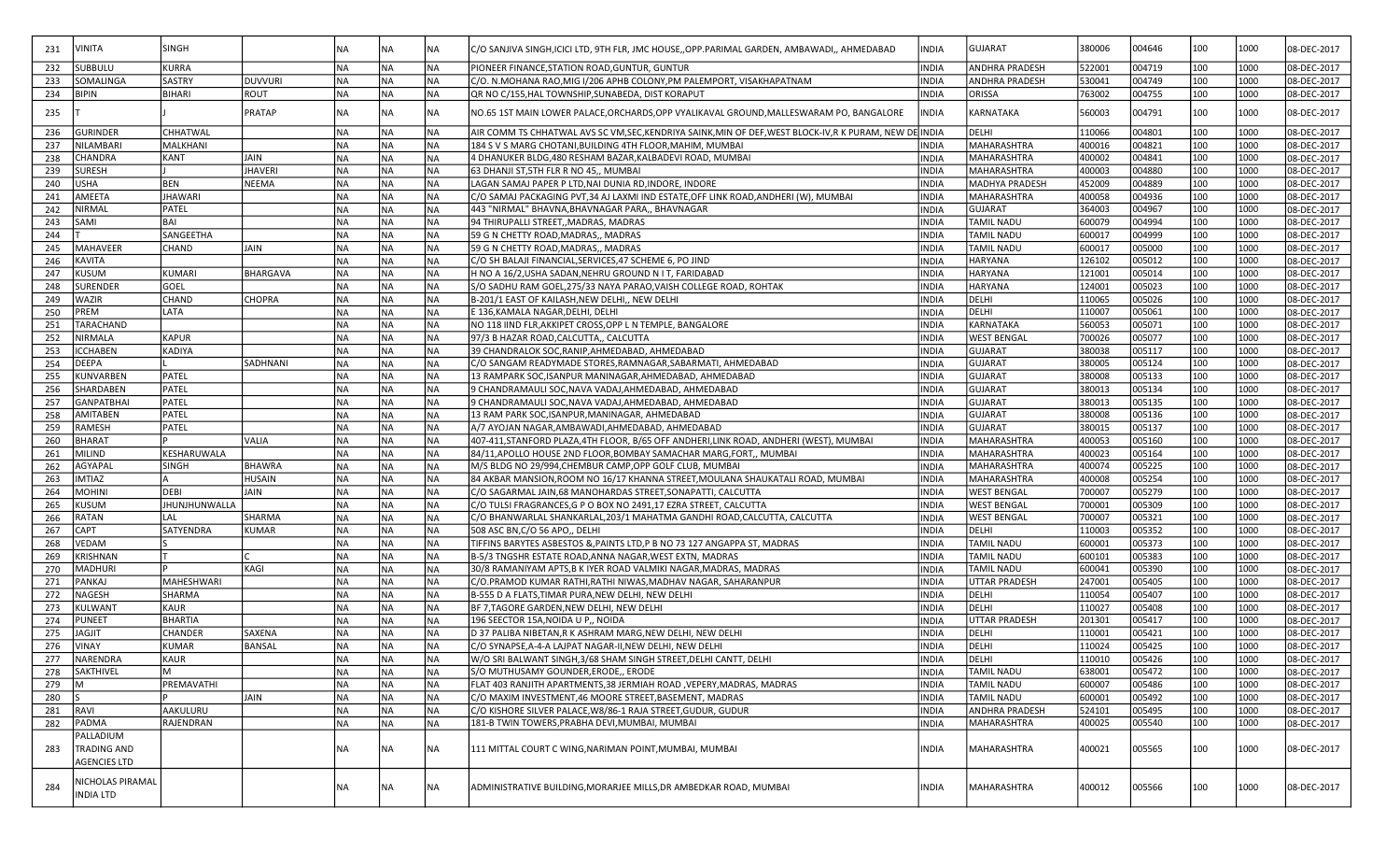| 231 | VINITA              | <b>SINGH</b>   |                 | NA        | NA        | NA        | C/O SANJIVA SINGH,ICICI LTD, 9TH FLR, JMC HOUSE,,OPP.PARIMAL GARDEN, AMBAWADI,, AHMEDABAD          | INDIA        | GUJARAT               | 380006 | 004646 | 100 | 1000 | 08-DEC-2017 |
|-----|---------------------|----------------|-----------------|-----------|-----------|-----------|----------------------------------------------------------------------------------------------------|--------------|-----------------------|--------|--------|-----|------|-------------|
| 232 | <b>SUBBULU</b>      | <b>KURRA</b>   |                 | <b>NA</b> | NA        | <b>NA</b> | PIONEER FINANCE, STATION ROAD, GUNTUR, GUNTUR                                                      | <b>INDIA</b> | <b>ANDHRA PRADESH</b> | 522001 | 004719 | 100 | 1000 | 08-DEC-2017 |
| 233 | SOMALINGA           | <b>SASTRY</b>  | <b>DUVVURI</b>  | <b>NA</b> | <b>NA</b> | <b>NA</b> | C/O. N.MOHANA RAO,MIG I/206 APHB COLONY,PM PALEMPORT, VISAKHAPATNAM                                | <b>INDIA</b> | ANDHRA PRADESH        | 530041 | 004749 | 100 | 1000 | 08-DEC-2017 |
| 234 | <b>BIPIN</b>        | <b>BIHARI</b>  | ROUT            | <b>NA</b> | <b>NA</b> | <b>NA</b> | QR NO C/155, HAL TOWNSHIP, SUNABEDA, DIST KORAPUT                                                  | <b>INDIA</b> | ORISSA                | 763002 | 004755 | 100 | 1000 | 08-DEC-2017 |
| 235 |                     |                | <b>PRATAP</b>   | NA        | NA        | NA        | NO.65 1ST MAIN LOWER PALACE,ORCHARDS,OPP VYALIKAVAL GROUND,MALLESWARAM PO, BANGALORE               | INDIA        | KARNATAKA             | 560003 | 004791 | 100 | 1000 | 08-DEC-2017 |
| 236 | <b>GURINDER</b>     | CHHATWAL       |                 | <b>NA</b> | NA        | NA        | AIR COMM TS CHHATWAL AVS SC VM,SEC,KENDRIYA SAINK,MIN OF DEF,WEST BLOCK-IV,R K PURAM, NEW DE INDIA |              | DELHI                 | 110066 | 004801 | 100 | 1000 | 08-DEC-2017 |
| 237 | NILAMBARI           | MALKHANI       |                 | <b>NA</b> | <b>NA</b> | <b>NA</b> | 184 S V S MARG CHOTANI, BUILDING 4TH FLOOR, MAHIM, MUMBAI                                          | <b>INDIA</b> | MAHARASHTRA           | 400016 | 004821 | 100 | 1000 | 08-DEC-2017 |
| 238 | <b>CHANDRA</b>      | KANT           | JAIN            | <b>NA</b> | <b>NA</b> | <b>NA</b> | 4 DHANUKER BLDG,480 RESHAM BAZAR, KALBADEVI ROAD, MUMBAI                                           | <b>INDIA</b> | MAHARASHTRA           | 400002 | 004841 | 100 | 1000 | 08-DEC-2017 |
| 239 | <b>SURESH</b>       |                | JHAVERI         | <b>NA</b> | NA)       | <b>NA</b> | 63 DHANJI ST, 5TH FLR R NO 45,, MUMBAI                                                             | <b>INDIA</b> | MAHARASHTRA           | 400003 | 004880 | 100 | 1000 | 08-DEC-2017 |
| 240 | <b>USHA</b>         | <b>BEN</b>     | NEEMA           | <b>NA</b> | NA)       | <b>NA</b> | LAGAN SAMAJ PAPER P LTD, NAI DUNIA RD, INDORE, INDORE                                              | <b>INDIA</b> | <b>MADHYA PRADESH</b> | 452009 | 004889 | 100 | 1000 | 08-DEC-2017 |
| 241 | AMEETA              | <b>JHAWARI</b> |                 | <b>NA</b> | <b>NA</b> | <b>NA</b> | C/O SAMAJ PACKAGING PVT,34 AJ LAXMI IND ESTATE,OFF LINK ROAD,ANDHERI (W), MUMBAI                   | <b>INDIA</b> | MAHARASHTRA           | 400058 | 004936 | 100 | 1000 | 08-DEC-2017 |
| 242 | NIRMAL              | PATEL          |                 | <b>NA</b> | NA        | NA        | 443 "NIRMAL" BHAVNA, BHAVNAGAR PARA,, BHAVNAGAR                                                    | <b>INDIA</b> | <b>GUJARAT</b>        | 364003 | 004967 | 100 | 1000 | 08-DEC-2017 |
| 243 | SAMI                | <b>BAI</b>     |                 | <b>NA</b> | <b>NA</b> | <b>NA</b> | 94 THIRUPALLI STREET,, MADRAS, MADRAS                                                              | <b>INDIA</b> | <b>TAMIL NADU</b>     | 600079 | 004994 | 100 | 1000 | 08-DEC-2017 |
| 244 |                     | SANGEETHA      |                 | <b>NA</b> | NA        | <b>NA</b> | 59 G N CHETTY ROAD, MADRAS,, MADRAS                                                                | <b>INDIA</b> | <b>TAMIL NADL</b>     | 600017 | 004999 | 100 | 1000 | 08-DEC-2017 |
| 245 | <b>MAHAVEER</b>     | CHAND          | JAIN            | <b>NA</b> | <b>NA</b> | <b>NA</b> | 59 G N CHETTY ROAD, MADRAS,, MADRAS                                                                | <b>INDIA</b> | <b>TAMIL NADU</b>     | 600017 | 005000 | 100 | 1000 | 08-DEC-2017 |
| 246 | KAVITA              |                |                 | <b>NA</b> | <b>NA</b> | <b>NA</b> | C/O SH BALAJI FINANCIAL,SERVICES,47 SCHEME 6, PO JIND                                              | <b>INDIA</b> | HARYANA               | 126102 | 005012 | 100 | 1000 | 08-DEC-2017 |
| 247 | KUSUM               | <b>KUMARI</b>  | <b>BHARGAVA</b> | <b>NA</b> | <b>NA</b> | NA        | H NO A 16/2, USHA SADAN, NEHRU GROUND N I T, FARIDABAD                                             | <b>INDIA</b> | HARYANA               | 121001 | 005014 | 100 | 1000 | 08-DEC-2017 |
| 248 | SURENDER            | GOEL           |                 | <b>NA</b> | <b>NA</b> | NA        | S/O SADHU RAM GOEL,275/33 NAYA PARAO,VAISH COLLEGE ROAD, ROHTAK                                    | <b>INDIA</b> | HARYANA               | 124001 | 005023 | 100 | 1000 | 08-DEC-2017 |
|     | WAZIR               | <b>CHAND</b>   |                 | <b>NA</b> | <b>NA</b> | NA        |                                                                                                    | <b>INDIA</b> |                       | 110065 |        | 100 | 1000 |             |
| 249 |                     |                | <b>CHOPRA</b>   |           |           |           | B-201/1 EAST OF KAILASH, NEW DELHI,, NEW DELHI                                                     |              | DELHI                 |        | 005026 |     |      | 08-DEC-2017 |
| 250 | PREM                | LATA           |                 | <b>NA</b> | <b>NA</b> | <b>NA</b> | E 136, KAMALA NAGAR, DELHI, DELHI                                                                  | <b>INDIA</b> | DELHI                 | 110007 | 005061 | 100 | 1000 | 08-DEC-2017 |
| 251 | TARACHAND           |                |                 | <b>NA</b> | NA.       | <b>NA</b> | NO 118 IIND FLR, AKKIPET CROSS, OPP L N TEMPLE, BANGALORE                                          | <b>INDIA</b> | KARNATAKA             | 560053 | 005071 | 100 | 1000 | 08-DEC-2017 |
| 252 | NIRMALA             | <b>KAPUR</b>   |                 | INA       | NA)       | <b>NA</b> | 97/3 B HAZAR ROAD, CALCUTTA,, CALCUTTA                                                             | <b>INDIA</b> | <b>WEST BENGAL</b>    | 700026 | 005077 | 100 | 1000 | 08-DEC-2017 |
| 253 | <b>ICCHABEN</b>     | <b>KADIYA</b>  |                 | <b>NA</b> | NA        | <b>NA</b> | 39 CHANDRALOK SOC, RANIP, AHMEDABAD, AHMEDABAD                                                     | <b>INDIA</b> | <b>GUJARAT</b>        | 380038 | 005117 | 100 | 1000 | 08-DEC-2017 |
| 254 | <b>DEEPA</b>        |                | SADHNANI        | <b>NA</b> | <b>NA</b> | <b>NA</b> | C/O SANGAM READYMADE STORES, RAMNAGAR, SABARMATI, AHMEDABAD                                        | <b>INDIA</b> | <b>GUJARAT</b>        | 380005 | 005124 | 100 | 1000 | 08-DEC-2017 |
| 255 | KUNVARBEN           | PATEL          |                 | <b>NA</b> | NA        | <b>NA</b> | 13 RAMPARK SOC, ISANPUR MANINAGAR, AHMEDABAD, AHMEDABAD                                            | <b>INDIA</b> | <b>GUJARAT</b>        | 380008 | 005133 | 100 | 1000 | 08-DEC-2017 |
| 256 | SHARDABEN           | PATEL          |                 | <b>NA</b> | <b>NA</b> | <b>NA</b> | 9 CHANDRAMAULI SOC, NAVA VADAJ, AHMEDABAD, AHMEDABAD                                               | <b>INDIA</b> | <b>GUJARAT</b>        | 380013 | 005134 | 100 | 1000 | 08-DEC-2017 |
| 257 | <b>GANPATBHAI</b>   | PATEL          |                 | <b>NA</b> | NA        | <b>NA</b> | 9 CHANDRAMAULI SOC, NAVA VADAJ, AHMEDABAD, AHMEDABAD                                               | <b>INDIA</b> | <b>GUJARAT</b>        | 380013 | 005135 | 100 | 1000 | 08-DEC-2017 |
| 258 | <b>AMITABEN</b>     | PATEL          |                 | <b>NA</b> | <b>NA</b> | <b>NA</b> | 13 RAM PARK SOC, ISANPUR, MANINAGAR, AHMEDABAD                                                     | <b>INDIA</b> | <b>GUJARAT</b>        | 380008 | 005136 | 100 | 1000 | 08-DEC-2017 |
| 259 | RAMESH              | PATEL          |                 | <b>NA</b> | <b>NA</b> | <b>NA</b> | A/7 AYOJAN NAGAR,AMBAWADI,AHMEDABAD, AHMEDABAD                                                     | <b>INDIA</b> | <b>GUJARAT</b>        | 380015 | 005137 | 100 | 1000 | 08-DEC-2017 |
| 260 | <b>BHARAT</b>       |                | <b>VALIA</b>    | <b>NA</b> | <b>NA</b> | NA        | 407-411,STANFORD PLAZA,4TH FLOOR, B/65 OFF ANDHERI,LINK ROAD, ANDHERI (WEST), MUMBAI               | <b>INDIA</b> | MAHARASHTRA           | 400053 | 005160 | 100 | 1000 | 08-DEC-2017 |
| 261 | <b>MILIND</b>       | KESHARUWALA    |                 | <b>NA</b> | <b>NA</b> | NA        | 84/11,APOLLO HOUSE 2ND FLOOR,BOMBAY SAMACHAR MARG,FORT,, MUMBAI                                    | <b>INDIA</b> | MAHARASHTRA           | 400023 | 005164 | 100 | 1000 | 08-DEC-2017 |
| 262 | AGYAPAL             | <b>SINGH</b>   | <b>BHAWRA</b>   | <b>NA</b> | <b>NA</b> | NA        | M/S BLDG NO 29/994, CHEMBUR CAMP, OPP GOLF CLUB, MUMBAI                                            | <b>INDIA</b> | MAHARASHTRA           | 400074 | 005225 | 100 | 1000 | 08-DEC-2017 |
| 263 | <b>IMTIAZ</b>       | ΙA             | HUSAIN          | NA)       | <b>NA</b> | <b>NA</b> | 84 AKBAR MANSION, ROOM NO 16/17 KHANNA STREET, MOULANA SHAUKATALI ROAD, MUMBAI                     | <b>INDIA</b> | MAHARASHTRA           | 400008 | 005254 | 100 | 1000 | 08-DEC-2017 |
| 264 | <b>MOHINI</b>       | <b>DEBI</b>    | JAIN            | <b>NA</b> | NA)       | <b>NA</b> | C/O SAGARMAL JAIN, 68 MANOHARDAS STREET, SONAPATTI, CALCUTTA                                       | <b>INDIA</b> | <b>WEST BENGAL</b>    | 700007 | 005279 | 100 | 1000 | 08-DEC-2017 |
| 265 | <b>KUSUM</b>        | JHUNJHUNWALLA  |                 | INA       | NA)       | <b>NA</b> | C/O TULSI FRAGRANCES, G P O BOX NO 2491,17 EZRA STREET, CALCUTTA                                   | <b>INDIA</b> | <b>WEST BENGAL</b>    | 700001 | 005309 | 100 | 1000 | 08-DEC-2017 |
| 266 | RATAN               | <b>LAL</b>     | SHARMA          | <b>NA</b> | NA.       | <b>NA</b> | C/O BHANWARLAL SHANKARLAL, 203/1 MAHATMA GANDHI ROAD, CALCUTTA, CALCUTTA                           | <b>INDIA</b> | <b>WEST BENGAL</b>    | 700007 | 005321 | 100 | 1000 | 08-DEC-2017 |
| 267 | CAPT                | SATYENDRA      | KUMAR           | <b>NA</b> | <b>NA</b> | <b>NA</b> | 508 ASC BN, C/O 56 APO,, DELHI                                                                     | <b>INDIA</b> | DELHI                 | 110003 | 005352 | 100 | 1000 | 08-DEC-2017 |
| 268 | <b>VEDAM</b>        |                |                 | <b>NA</b> | NA        | <b>NA</b> | TIFFINS BARYTES ASBESTOS & PAINTS LTD, P B NO 73 127 ANGAPPA ST, MADRAS                            | <b>INDIA</b> | <b>TAMIL NADU</b>     | 600001 | 005373 | 100 | 1000 | 08-DEC-2017 |
| 269 | <b>KRISHNAN</b>     |                |                 | <b>NA</b> | <b>NA</b> | <b>NA</b> | B-5/3 TNGSHR ESTATE ROAD, ANNA NAGAR, WEST EXTN, MADRAS                                            | <b>INDIA</b> | <b>TAMIL NADU</b>     | 600101 | 005383 | 100 | 1000 | 08-DEC-2017 |
| 270 | <b>MADHURI</b>      |                | KAGI            | <b>NA</b> | NA        | <b>NA</b> | 30/8 RAMANIYAM APTS, B K IYER ROAD VALMIKI NAGAR, MADRAS, MADRAS                                   | <b>INDIA</b> | <b>TAMIL NADU</b>     | 600041 | 005390 | 100 | 1000 | 08-DEC-2017 |
| 271 | PANKAJ              | MAHESHWARI     |                 | <b>NA</b> | <b>NA</b> | <b>NA</b> | C/O.PRAMOD KUMAR RATHI.RATHI NIWAS.MADHAV NAGAR. SAHARANPUR                                        | <b>INDIA</b> | <b>UTTAR PRADESH</b>  | 247001 | 005405 | 100 | 1000 | 08-DEC-2017 |
| 272 | <b>JAGESH</b>       | SHARMA         |                 | <b>NA</b> | <b>NA</b> | NA        | B-555 D A FLATS.TIMAR PURA.NEW DELHI. NEW DELHI                                                    | <b>INDIA</b> | DELHI                 | 110054 | 005407 | 100 | 1000 | 08-DEC-2017 |
| 273 | KULWANT             | <b>KAUR</b>    |                 | <b>NA</b> | <b>NA</b> | NA        | BF 7, TAGORE GARDEN, NEW DELHI, NEW DELHI                                                          | <b>INDIA</b> | DELHI                 | 110027 | 005408 | 100 | 1000 | 08-DEC-2017 |
| 274 | <b>PUNEET</b>       | <b>BHARTIA</b> |                 | <b>NA</b> | <b>NA</b> | <b>NA</b> | 196 SEECTOR 15A, NOIDA U P,, NOIDA                                                                 | <b>INDIA</b> | <b>UTTAR PRADESH</b>  | 201301 | 005417 | 100 | 1000 | 08-DEC-2017 |
| 275 | <b>JAGJIT</b>       | CHANDER        | SAXENA          | <b>NA</b> | <b>NA</b> | NA        | D 37 PALIBA NIBETAN, R K ASHRAM MARG, NEW DELHI, NEW DELHI                                         | <b>INDIA</b> | DELHI                 | 110001 | 005421 | 100 | 1000 | 08-DEC-2017 |
| 276 | <b>VINAY</b>        | <b>KUMAR</b>   | <b>BANSAL</b>   | <b>NA</b> | <b>NA</b> | <b>NA</b> | C/O SYNAPSE.A-4-A LAJPAT NAGAR-II.NEW DELHI. NEW DELHI                                             | <b>INDIA</b> | DELHI                 | 110024 | 005425 | 100 | 1000 | 08-DEC-2017 |
| 277 | NARENDRA            | <b>KAUR</b>    |                 | <b>NA</b> | <b>NA</b> | <b>NA</b> | W/O SRI BALWANT SINGH,3/68 SHAM SINGH STREET,DELHI CANTT, DELHI                                    | <b>INDIA</b> | DELHI                 | 110010 | 005426 | 100 | 1000 | 08-DEC-2017 |
| 278 | <b>SAKTHIVEL</b>    | M              |                 | NA)       | NA)       | <b>NA</b> | S/O MUTHUSAMY GOUNDER, ERODE,, ERODE                                                               | <b>INDIA</b> | <b>TAMIL NADU</b>     | 638001 | 005472 | 100 | 1000 | 08-DEC-2017 |
| 279 | M                   | PREMAVATHI     |                 | <b>NA</b> | NA.       | <b>NA</b> | FLAT 403 RANJITH APARTMENTS, 38 JERMIAH ROAD, VEPERY, MADRAS, MADRAS                               | <b>INDIA</b> | <b>TAMIL NADU</b>     | 600007 | 005486 | 100 | 1000 | 08-DEC-2017 |
| 280 |                     |                | JAIN            | <b>NA</b> | NA)       | <b>NA</b> | C/O MAXIM INVESTMENT, 46 MOORE STREET, BASEMENT, MADRAS                                            | <b>INDIA</b> | <b>TAMIL NADU</b>     | 600001 | 005492 | 100 | 1000 | 08-DEC-2017 |
| 281 | RAVI                | AAKULURU       |                 | <b>NA</b> | NA.       | <b>NA</b> | C/O KISHORE SILVER PALACE, W8/86-1 RAJA STREET, GUDUR, GUDUR                                       | <b>INDIA</b> | <b>ANDHRA PRADESH</b> | 524101 | 005495 | 100 | 1000 | 08-DEC-2017 |
| 282 | PADMA               | RAJENDRAN      |                 | <b>NA</b> | NA.       | <b>NA</b> | 181-B TWIN TOWERS, PRABHA DEVI, MUMBAI, MUMBAI                                                     | <b>INDIA</b> | MAHARASHTRA           | 400025 | 005540 | 100 | 1000 | 08-DEC-2017 |
|     | PALLADIUM           |                |                 |           |           |           |                                                                                                    |              |                       |        |        |     |      |             |
| 283 | <b>TRADING AND</b>  |                |                 | <b>NA</b> | NA        | NA        | 111 MITTAL COURT C WING, NARIMAN POINT, MUMBAI, MUMBAI                                             | <b>INDIA</b> | <b>MAHARASHTRA</b>    | 400021 | 005565 | 100 | 1000 | 08-DEC-2017 |
|     | <b>AGENCIES LTD</b> |                |                 |           |           |           |                                                                                                    |              |                       |        |        |     |      |             |
|     |                     |                |                 |           |           |           |                                                                                                    |              |                       |        |        |     |      |             |
| 284 | VICHOLAS PIRAMAI    |                |                 | <b>NA</b> | <b>NA</b> | <b>NA</b> | ADMINISTRATIVE BUILDING, MORARJEE MILLS, DR AMBEDKAR ROAD, MUMBAI                                  | <b>INDIA</b> | <b>MAHARASHTRA</b>    | 400012 | 005566 | 100 | 1000 | 08-DEC-2017 |
|     | NDIA LTD            |                |                 |           |           |           |                                                                                                    |              |                       |        |        |     |      |             |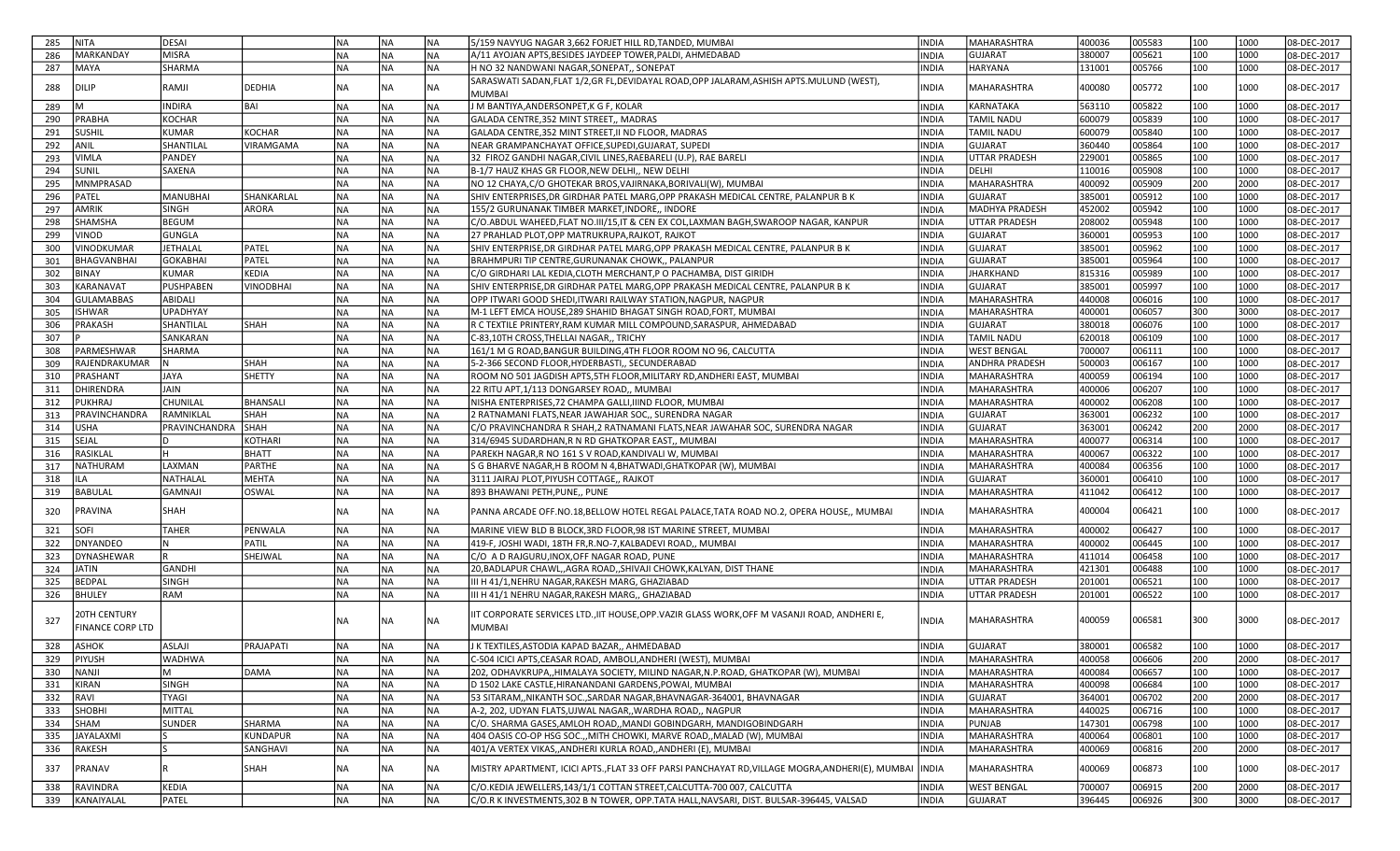| <b>NITA</b><br>285                             | <b>DESAI</b>     |                  | INA       | NA        | <b>NA</b> | 5/159 NAVYUG NAGAR 3,662 FORJET HILL RD,TANDED, MUMBAI                                                         | <b>INDIA</b>                 | MAHARASHTRA           | 400036           | 005583 | 100 | 1000 | 08-DEC-2017                |
|------------------------------------------------|------------------|------------------|-----------|-----------|-----------|----------------------------------------------------------------------------------------------------------------|------------------------------|-----------------------|------------------|--------|-----|------|----------------------------|
| 286<br>MARKANDAY                               | <b>MISRA</b>     |                  | Ina       | NA        | NA)       | A/11 AYOJAN APTS, BESIDES JAYDEEP TOWER, PALDI, AHMEDABAD                                                      | <b>INDIA</b>                 | <b>GUJARAT</b>        | 380007           | 005621 | 100 | 1000 | 08-DEC-2017                |
| MAYA<br>287                                    | SHARMA           |                  | <b>NA</b> | NA        | <b>NA</b> | H NO 32 NANDWANI NAGAR, SONEPAT,, SONEPAT                                                                      | <b>INDIA</b>                 | HARYANA               | 131001           | 005766 | 100 | 1000 | 08-DEC-2017                |
|                                                |                  |                  |           |           |           | SARASWATI SADAN, FLAT 1/2, GR FL, DEVIDAYAL ROAD, OPP JALARAM, ASHISH APTS. MULUND (WEST),                     |                              |                       |                  |        |     |      |                            |
| 288<br>DILIP                                   | RAMJI            | DEDHIA           | <b>NA</b> | NA        | NA        | <b>MUMBAI</b>                                                                                                  | INDIA                        | MAHARASHTRA           | 400080           | 005772 | 100 | 1000 | 08-DEC-2017                |
| 289                                            | <b>INDIRA</b>    | BAI              | <b>NA</b> | NA        | <b>NA</b> | J M BANTIYA, ANDERSONPET, K G F, KOLAR                                                                         | <b>INDIA</b>                 | KARNATAKA             | 563110           | 005822 | 100 | 1000 | 08-DEC-2017                |
| 290<br>PRABHA                                  | KOCHAR           |                  | NA)       | NA        | <b>NA</b> | GALADA CENTRE, 352 MINT STREET,, MADRAS                                                                        | <b>INDIA</b>                 | <b>TAMIL NADU</b>     | 600079           | 005839 | 100 | 1000 | 08-DEC-2017                |
| SUSHIL<br>291                                  | <b>KUMAR</b>     | KOCHAR           | NA)       | NA        | <b>NA</b> | GALADA CENTRE,352 MINT STREET,II ND FLOOR, MADRAS                                                              | <b>INDIA</b>                 | <b>TAMIL NADU</b>     | 600079           | 005840 | 100 | 1000 | 08-DEC-2017                |
| ANIL<br>292                                    | SHANTILAL        | <b>VIRAMGAMA</b> | <b>NA</b> | NA        | NA)       | NEAR GRAMPANCHAYAT OFFICE, SUPEDI, GUJARAT, SUPEDI                                                             | <b>INDIA</b>                 | <b>GUJARAT</b>        | 360440           | 005864 | 100 | 1000 | 08-DEC-2017                |
| 293<br><b>VIMLA</b>                            | PANDEY           |                  | NA)       | <b>NA</b> | <b>NA</b> | 32 FIROZ GANDHI NAGAR, CIVIL LINES, RAEBARELI (U.P), RAE BARELI                                                | <b>INDIA</b>                 | UTTAR PRADESH         | 229001           | 005865 | 100 | 1000 | 08-DEC-2017                |
| 294<br><b>SUNIL</b>                            | SAXENA           |                  | NA)       | NA        | NA)       | B-1/7 HAUZ KHAS GR FLOOR, NEW DELHI,, NEW DELHI                                                                | <b>INDIA</b>                 | DELHI                 | 110016           | 005908 | 100 | 1000 | 08-DEC-2017                |
| <b>MNMPRASAD</b><br>295                        |                  |                  | INA       | NA        | NA)       | NO 12 CHAYA, C/O GHOTEKAR BROS, VAJIRNAKA, BORIVALI(W), MUMBAI                                                 | <b>INDIA</b>                 | MAHARASHTRA           | 400092           | 005909 | 200 | 2000 | 08-DEC-2017                |
| 296<br>PATEL                                   | <b>MANUBHAI</b>  | SHANKARLAL       | <b>NA</b> | NA        | NA)       | SHIV ENTERPRISES, DR GIRDHAR PATEL MARG, OPP PRAKASH MEDICAL CENTRE, PALANPUR B K                              | <b>INDIA</b>                 | <b>GUJARAT</b>        | 385001           | 005912 | 100 | 1000 | 08-DEC-2017                |
| AMRIK<br>297                                   | <b>SINGH</b>     | ARORA            | NA)       | NA        | NA)       | 155/2 GURUNANAK TIMBER MARKET,INDORE,, INDORE                                                                  | <b>INDIA</b>                 | MADHYA PRADESH        | 452002           | 005942 | 100 | 1000 | 08-DEC-2017                |
| 298<br>SHAMSHA                                 | <b>BEGUM</b>     |                  | NA)       | NA        | NA)       | C/O.ABDUL WAHEED,FLAT NO.III/15,IT & CEN EX COL,LAXMAN BAGH,SWAROOP NAGAR, KANPUR                              | <b>INDIA</b>                 | UTTAR PRADESH         | 208002           | 005948 | 100 | 1000 | 08-DEC-2017                |
| 299<br>/INOD                                   | <b>GUNGLA</b>    |                  | <b>NA</b> | NA        | <b>NA</b> | 27 PRAHLAD PLOT, OPP MATRUKRUPA, RAJKOT, RAJKOT                                                                | <b>INDIA</b>                 | <b>GUJARAT</b>        | 360001           | 005953 | 100 | 1000 | 08-DEC-2017                |
| VINODKUMAR<br>300                              | JETHALAL         | PATEL            | <b>NA</b> | NA        | <b>NA</b> | SHIV ENTERPRISE,DR GIRDHAR PATEL MARG,OPP PRAKASH MEDICAL CENTRE, PALANPUR B K                                 | <b>INDIA</b>                 | <b>GUJARAT</b>        | 385001           | 005962 | 100 | 1000 | 08-DEC-2017                |
| 301<br><b>BHAGVANBHAI</b>                      | <b>GOKABHAI</b>  | PATEL            | NA)       | NA        | NA)       | BRAHMPURI TIP CENTRE, GURUNANAK CHOWK,, PALANPUR                                                               | <b>INDIA</b>                 | <b>GUJARAT</b>        | 385001           | 005964 | 100 | 1000 | 08-DEC-2017                |
| BINAY<br>302                                   | <b>KUMAR</b>     | <b>KEDIA</b>     | NA)       | NA        | <b>NA</b> | C/O GIRDHARI LAL KEDIA, CLOTH MERCHANT, PO PACHAMBA, DIST GIRIDH                                               | <b>INDIA</b>                 | <b>JHARKHAND</b>      | 815316           | 005989 | 100 | 1000 | 08-DEC-2017                |
| 303<br>KARANAVAT                               | <b>PUSHPABEN</b> | <b>VINODBHAI</b> | <b>NA</b> | NA        | NA)       | SHIV ENTERPRISE,DR GIRDHAR PATEL MARG,OPP PRAKASH MEDICAL CENTRE, PALANPUR B K                                 | <b>INDIA</b>                 | <b>GUJARAT</b>        | 385001           | 005997 | 100 | 1000 | 08-DEC-2017                |
| <b>GULAMABBAS</b><br>304                       | ABIDALI          |                  | Ina       | NA        | <b>NA</b> | OPP ITWARI GOOD SHEDI,ITWARI RAILWAY STATION,NAGPUR, NAGPUR                                                    | <b>INDIA</b>                 | MAHARASHTRA           | 440008           | 006016 | 100 | 1000 | 08-DEC-2017                |
| <b>ISHWAR</b><br>305                           | <b>UPADHYAY</b>  |                  | NA)       | NA        | NA)       | M-1 LEFT EMCA HOUSE,289 SHAHID BHAGAT SINGH ROAD,FORT, MUMBAI                                                  | <b>INDIA</b>                 | <b>MAHARASHTRA</b>    | 400001           | 006057 | 300 | 3000 | 08-DEC-2017                |
| PRAKASH<br>306                                 | SHANTILAL        | <b>SHAH</b>      | <b>NA</b> | NA        | <b>NA</b> | R C TEXTILE PRINTERY, RAM KUMAR MILL COMPOUND, SARASPUR, AHMEDABAD                                             | <b>INDIA</b>                 | <b>GUJARAT</b>        | 380018           | 006076 | 100 | 1000 | 08-DEC-2017                |
| 307                                            | SANKARAN         |                  | NA)       | NA        | NA)       | C-83,10TH CROSS, THELLAI NAGAR,, TRICHY                                                                        | <b>INDIA</b>                 | <b>TAMIL NADU</b>     | 620018           | 006109 | 100 | 1000 | 08-DEC-2017                |
| PARMESHWAR<br>308                              | SHARMA           |                  | Ina       | NA        | NA)       | 161/1 M G ROAD,BANGUR BUILDING,4TH FLOOR ROOM NO 96, CALCUTTA                                                  | <b>INDIA</b>                 | <b>WEST BENGAL</b>    | 700007           | 006111 | 100 | 1000 | 08-DEC-2017                |
| 309<br>RAJENDRAKUMAR                           |                  | <b>SHAH</b>      | <b>NA</b> | NA        | NA)       | 5-2-366 SECOND FLOOR, HYDERBASTI,, SECUNDERABAD                                                                | <b>INDIA</b>                 | <b>ANDHRA PRADESH</b> | 500003           | 006167 | 100 | 1000 | 08-DEC-2017                |
| PRASHANT<br>310                                | JAYA             | Ishetty          | İNA       | NA        | NA)       | ROOM NO 501 JAGDISH APTS,5TH FLOOR,MILITARY RD,ANDHERI EAST, MUMBAI                                            | <b>INDIA</b>                 | <b>MAHARASHTRA</b>    | 400059           | 006194 | 100 | 1000 | 08-DEC-2017                |
| 311<br>DHIRENDRA                               | JAIN             |                  | NA)       | NA        | <b>NA</b> | 22 RITU APT, 1/113 DONGARSEY ROAD,, MUMBAI                                                                     | <b>INDIA</b>                 | MAHARASHTRA           | 400006           | 006207 | 100 | 1000 | 08-DEC-2017                |
| 312<br>PUKHRAJ                                 | CHUNILAL         | <b>BHANSALI</b>  | NA)       | NA        | <b>NA</b> | NISHA ENTERPRISES, 72 CHAMPA GALLI, IIIND FLOOR, MUMBAI                                                        | <b>INDIA</b>                 | MAHARASHTRA           | 400002           | 006208 | 100 | 1000 | 08-DEC-2017                |
| 313<br>PRAVINCHANDRA                           | RAMNIKLAL        | <b>SHAH</b>      | <b>NA</b> | NA        | <b>NA</b> | 2 RATNAMANI FLATS, NEAR JAWAHJAR SOC., SURENDRA NAGAR                                                          | <b>INDIA</b>                 | <b>GUJARAT</b>        | 363001           | 006232 | 100 | 1000 | 08-DEC-2017                |
| <b>USHA</b>                                    | PRAVINCHANDRA    | SHAH             | NA)       |           | <b>NA</b> |                                                                                                                |                              | <b>GUJARAT</b>        |                  | 006242 | 200 | 2000 |                            |
| 314<br>SEJAL<br>315                            |                  | KOTHARI          | NA)       | NA<br>NA  | <b>NA</b> | C/O PRAVINCHANDRA R SHAH, 2 RATNAMANI FLATS, NEAR JAWAHAR SOC, SURENDRA NAGAR                                  | <b>INDIA</b><br><b>INDIA</b> | MAHARASHTRA           | 363001<br>400077 | 006314 | 100 | 1000 | 08-DEC-2017                |
| RASIKLAL<br>316                                | н.               | BHATT            | Ina       | NA        | NA)       | 314/6945 SUDARDHAN, R N RD GHATKOPAR EAST,, MUMBAI<br>PAREKH NAGAR,R NO 161 S V ROAD,KANDIVALI W, MUMBAI       | <b>INDIA</b>                 | MAHARASHTRA           | 400067           | 006322 | 100 | 1000 | 08-DEC-2017<br>08-DEC-2017 |
| NATHURAM                                       | LAXMAN           | PARTHE           | Ina       | NA        | NA)       |                                                                                                                | <b>INDIA</b>                 | <b>MAHARASHTRA</b>    | 400084           | 006356 | 100 | 1000 |                            |
| 317                                            |                  |                  | NA)       |           | NA)       | S G BHARVE NAGAR, H B ROOM N 4, BHATWADI, GHATKOPAR (W), MUMBAI                                                | <b>INDIA</b>                 |                       |                  |        |     |      | 08-DEC-2017                |
| 318<br>ILA                                     | NATHALAL         | MEHTA            |           | NA        |           | 3111 JAIRAJ PLOT, PIYUSH COTTAGE,, RAJKOT                                                                      |                              | <b>GUJARAT</b>        | 360001           | 006410 | 100 | 1000 | 08-DEC-2017                |
| <b>BABULAL</b><br>319                          | GAMNAJI          | OSWAL            | <b>NA</b> | NA        | <b>NA</b> | 893 BHAWANI PETH, PUNE,, PUNE                                                                                  | <b>INDIA</b>                 | MAHARASHTRA           | 411042           | 006412 | 100 | 1000 | 08-DEC-2017                |
| <b>PRAVINA</b><br>320                          | SHAH             |                  | <b>NA</b> | NA        | <b>NA</b> | PANNA ARCADE OFF.NO.18, BELLOW HOTEL REGAL PALACE, TATA ROAD NO.2, OPERA HOUSE,, MUMBAI                        | INDIA                        | MAHARASHTRA           | 400004           | 006421 | 100 | 1000 | 08-DEC-2017                |
| SOFI<br>321                                    | <b>TAHER</b>     | PENWALA          | INA       | NA        | <b>NA</b> | MARINE VIEW BLD B BLOCK, 3RD FLOOR, 98 IST MARINE STREET, MUMBAI                                               | <b>INDIA</b>                 | MAHARASHTRA           | 400002           | 006427 | 100 | 1000 | 08-DEC-2017                |
| 322<br>DNYANDEO                                |                  | <b>PATIL</b>     | İNA       | NA        | NA)       | 419-F, JOSHI WADI, 18TH FR,R.NO-7,KALBADEVI ROAD,, MUMBAI                                                      | <b>INDIA</b>                 | <b>MAHARASHTRA</b>    | 400002           | 006445 | 100 | 1000 | 08-DEC-2017                |
| 323<br>DYNASHEWAR                              |                  | SHEJWAL          | NA)       | NA        | <b>NA</b> | C/O A D RAJGURU, INOX, OFF NAGAR ROAD, PUNE                                                                    | <b>INDIA</b>                 | MAHARASHTRA           | 411014           | 006458 | 100 | 1000 | 08-DEC-2017                |
| JATIN<br>324                                   | <b>GANDHI</b>    |                  | <b>NA</b> | NA        | <b>NA</b> | 20, BADLAPUR CHAWL, AGRA ROAD, , SHIVAJI CHOWK, KALYAN, DIST THANE                                             | <b>INDIA</b>                 | MAHARASHTRA           | 421301           | 006488 | 100 | 1000 | 08-DEC-2017                |
| <b>BEDPAL</b><br>325                           | <b>SINGH</b>     |                  | NA)       | NA        | <b>NA</b> | III H 41/1, NEHRU NAGAR, RAKESH MARG, GHAZIABAD                                                                | <b>INDIA</b>                 | UTTAR PRADESH         | 201001           | 006521 | 100 | 1000 | 08-DEC-2017                |
| 326<br><b>BHULEY</b>                           | RAM              |                  | Ina       | NA        | <b>NA</b> | III H 41/1 NEHRU NAGAR, RAKESH MARG,, GHAZIABAD                                                                | <b>INDIA</b>                 | UTTAR PRADESH         | 201001           | 006522 | 100 | 1000 | 08-DEC-2017                |
| <b>2OTH CENTURY</b><br>327<br>FINANCE CORP LTD |                  |                  | <b>NA</b> | NA        | <b>NA</b> | IIT CORPORATE SERVICES LTD., IIT HOUSE, OPP. VAZIR GLASS WORK, OFF M VASANJI ROAD, ANDHERI E,<br><b>MUMBAI</b> | <b>INDIA</b>                 | MAHARASHTRA           | 400059           | 006581 | 300 | 3000 | 08-DEC-2017                |
| 328<br>ASHOK                                   | ASLAJI           | PRAJAPATI        | <b>NA</b> | NA        | INA.      | J K TEXTILES, ASTODIA KAPAD BAZAR,, AHMEDABAD                                                                  | <b>INDIA</b>                 | <b>GUJARAT</b>        | 380001           | 006582 | 100 | 1000 | 08-DEC-2017                |
| 329 PIYUSH                                     | WADHWA           |                  | <b>NA</b> | NA        | <b>NA</b> | C-504 ICICI APTS, CEASAR ROAD, AMBOLI, ANDHERI (WEST), MUMBAI                                                  | INDIA                        | MAHARASHTRA           | 400058           | 006606 | 200 | 2000 | 08-DEC-2017                |
| 330<br>NANJI                                   | M                | DAMA             | NA)       | NA        | NA)       | 202, ODHAVKRUPA,,HIMALAYA SOCIETY, MILIND NAGAR,N.P.ROAD, GHATKOPAR (W), MUMBAI                                | <b>INDIA</b>                 | MAHARASHTRA           | 400084           | 006657 | 100 | 1000 | 08-DEC-2017                |
| KIRAN<br>331                                   | <b>SINGH</b>     |                  | NA)       | NA        | NA        | D 1502 LAKE CASTLE, HIRANANDANI GARDENS, POWAI, MUMBAI                                                         | <b>INDIA</b>                 | MAHARASHTRA           | 400098           | 006684 | 100 | 1000 | 08-DEC-2017                |
| 332<br>RAVI]                                   | TYAGI            |                  | NA        | NA        | NA        | 53 SITARAM,,NIKANTH SOC.,SARDAR NAGAR,BHAVNAGAR-364001, BHAVNAGAR                                              | <b>INDIA</b>                 | GUJARAT               | 364001           | 006702 | 200 | 2000 | 08-DEC-2017                |
| SHOBHI<br>333                                  | <b>MITTAL</b>    |                  | NA        | NA        | <b>NA</b> | A-2, 202, UDYAN FLATS, UJWAL NAGAR,, WARDHA ROAD,, NAGPUR                                                      | <b>INDIA</b>                 | MAHARASHTRA           | 440025           | 006716 | 100 | 1000 | 08-DEC-2017                |
| SHAM<br>334                                    | SUNDER           | SHARMA           | NA)       | NA        | <b>NA</b> | C/O. SHARMA GASES, AMLOH ROAD,, MANDI GOBINDGARH, MANDIGOBINDGARH                                              | <b>INDIA</b>                 | PUNJAB                | 147301           | 006798 | 100 | 1000 | 08-DEC-2017                |
| JAYALAXMI<br>335                               |                  | <b>KUNDAPUR</b>  | NA        | NA        | NA        | 404 OASIS CO-OP HSG SOC.,,MITH CHOWKI, MARVE ROAD,,MALAD (W), MUMBAI                                           | <b>INDIA</b>                 | MAHARASHTRA           | 400064           | 006801 | 100 | 1000 | 08-DEC-2017                |
| RAKESH<br>336                                  |                  | SANGHAVI         | NA)       | NA        | <b>NA</b> | 401/A VERTEX VIKAS,, ANDHERI KURLA ROAD,, ANDHERI (E), MUMBAI                                                  | <b>INDIA</b>                 | MAHARASHTRA           | 400069           | 006816 | 200 | 2000 | 08-DEC-2017                |
| PRANAV<br>337                                  |                  | SHAH             | <b>NA</b> | NA        | <b>NA</b> | MISTRY APARTMENT, ICICI APTS., FLAT 33 OFF PARSI PANCHAYAT RD, VILLAGE MOGRA, ANDHERI(E), MUMBAI               | <b>INDIA</b>                 | MAHARASHTRA           | 400069           | 006873 | 100 | 1000 | 08-DEC-2017                |
| RAVINDRA<br>338                                | <b>KEDIA</b>     |                  | NA        | <b>NA</b> | NA        | C/O.KEDIA JEWELLERS,143/1/1 COTTAN STREET,CALCUTTA-700 007, CALCUTTA                                           | <b>INDIA</b>                 | <b>WEST BENGAL</b>    | 700007           | 006915 | 200 | 2000 | 08-DEC-2017                |
|                                                |                  |                  |           |           |           |                                                                                                                |                              |                       |                  |        |     |      |                            |